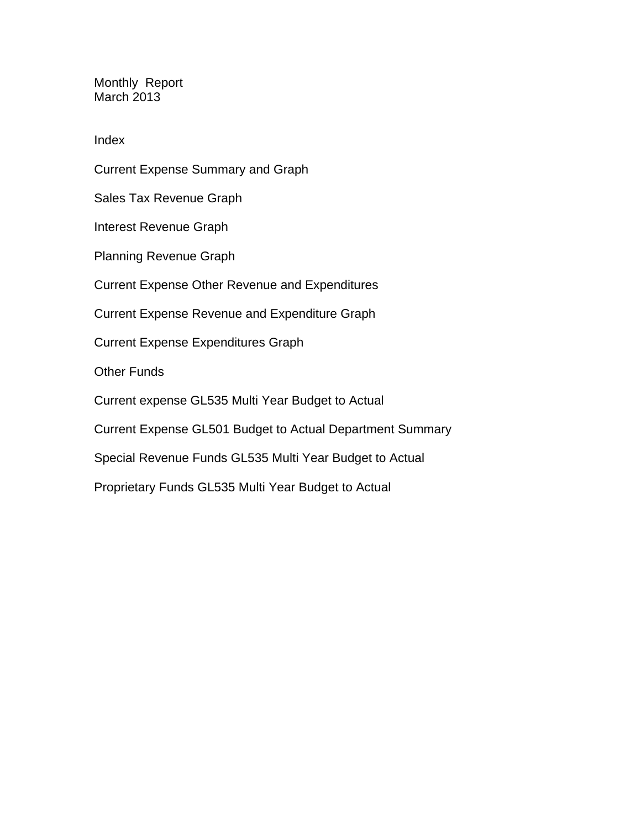Monthly Report March 2013

Index

Current Expense Summary and Graph Sales Tax Revenue Graph Interest Revenue Graph Planning Revenue Graph Current Expense Other Revenue and Expenditures Current Expense Revenue and Expenditure Graph Current Expense Expenditures Graph Other Funds Current expense GL535 Multi Year Budget to Actual Current Expense GL501 Budget to Actual Department Summary Special Revenue Funds GL535 Multi Year Budget to Actual Proprietary Funds GL535 Multi Year Budget to Actual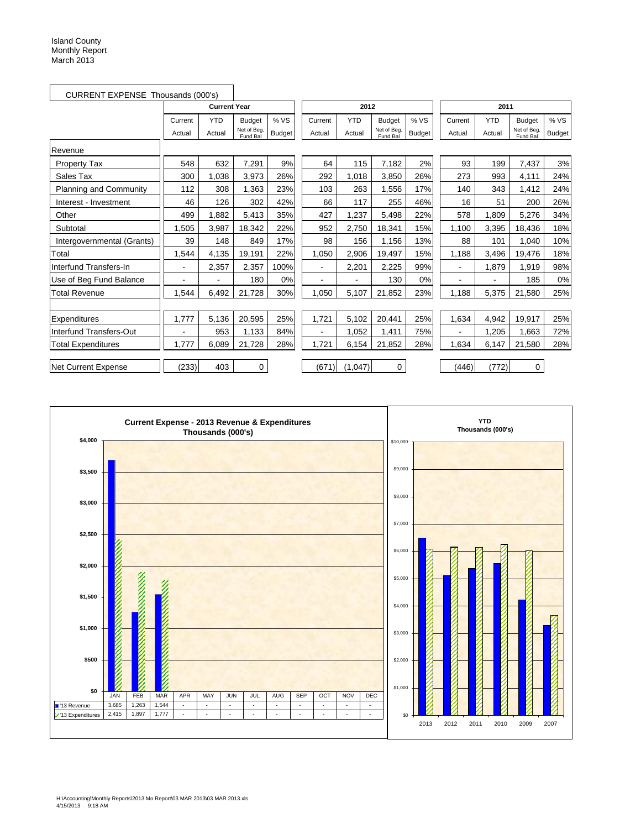| CURRENT EXPENSE Thousands (000's) |         |                     |                         |               |                |            |                         |               |         |            |                         |               |
|-----------------------------------|---------|---------------------|-------------------------|---------------|----------------|------------|-------------------------|---------------|---------|------------|-------------------------|---------------|
|                                   |         | <b>Current Year</b> |                         |               |                | 2012       |                         |               |         | 2011       |                         |               |
|                                   | Current | <b>YTD</b>          | <b>Budget</b>           | %VS           | Current        | <b>YTD</b> | <b>Budget</b>           | %VS           | Current | <b>YTD</b> | <b>Budget</b>           | %VS           |
|                                   | Actual  | Actual              | Net of Beg.<br>Fund Bal | <b>Budget</b> | Actual         | Actual     | Net of Beg.<br>Fund Bal | <b>Budget</b> | Actual  | Actual     | Net of Beg.<br>Fund Bal | <b>Budget</b> |
| Revenue                           |         |                     |                         |               |                |            |                         |               |         |            |                         |               |
| <b>Property Tax</b>               | 548     | 632                 | 7,291                   | 9%            | 64             | 115        | 7,182                   | 2%            | 93      | 199        | 7,437                   | 3%            |
| Sales Tax                         | 300     | 1.038               | 3,973                   | 26%           | 292            | 1,018      | 3,850                   | 26%           | 273     | 993        | 4,111                   | 24%           |
| Planning and Community            | 112     | 308                 | 1,363                   | 23%           | 103            | 263        | 1,556                   | 17%           | 140     | 343        | 1,412                   | 24%           |
| Interest - Investment             | 46      | 126                 | 302                     | 42%           | 66             | 117        | 255                     | 46%           | 16      | 51         | 200                     | 26%           |
| Other                             | 499     | 1,882               | 5,413                   | 35%           | 427            | 1,237      | 5,498                   | 22%           | 578     | 1,809      | 5,276                   | 34%           |
| Subtotal                          | ,505    | 3,987               | 18,342                  | 22%           | 952            | 2,750      | 18,341                  | 15%           | 1,100   | 3,395      | 18,436                  | 18%           |
| Intergovernmental (Grants)        | 39      | 148                 | 849                     | 17%           | 98             | 156        | 1,156                   | 13%           | 88      | 101        | 1.040                   | 10%           |
| Total                             | 1,544   | 4,135               | 19,191                  | 22%           | 1,050          | 2,906      | 19,497                  | 15%           | 1,188   | 3,496      | 19,476                  | 18%           |
| Interfund Transfers-In            |         | 2,357               | 2,357                   | 100%          |                | 2,201      | 2,225                   | 99%           |         | 1,879      | 1,919                   | 98%           |
| Use of Beg Fund Balance           | -       | -                   | 180                     | 0%            |                |            | 130                     | 0%            |         |            | 185                     | 0%            |
| <b>Total Revenue</b>              | 1.544   | 6,492               | 21.728                  | 30%           | 1.050          | 5,107      | 21,852                  | 23%           | 1.188   | 5,375      | 21,580                  | 25%           |
|                                   |         |                     |                         |               |                |            |                         |               |         |            |                         |               |
| Expenditures                      | 1,777   | 5,136               | 20,595                  | 25%           | 1,721          | 5,102      | 20,441                  | 25%           | 1,634   | 4,942      | 19,917                  | 25%           |
| Interfund Transfers-Out           |         | 953                 | 1,133                   | 84%           | $\blacksquare$ | 1,052      | 1,411                   | 75%           |         | 1,205      | 1.663                   | 72%           |
| <b>Total Expenditures</b>         | 1,777   | 6,089               | 21,728                  | 28%           | 1,721          | 6,154      | 21,852                  | 28%           | 1,634   | 6,147      | 21,580                  | 28%           |
| <b>Net Current Expense</b>        | (233)   | 403                 | 0                       |               | (671)          | (1,047)    | 0                       |               | (446)   | (772)      | 0                       |               |

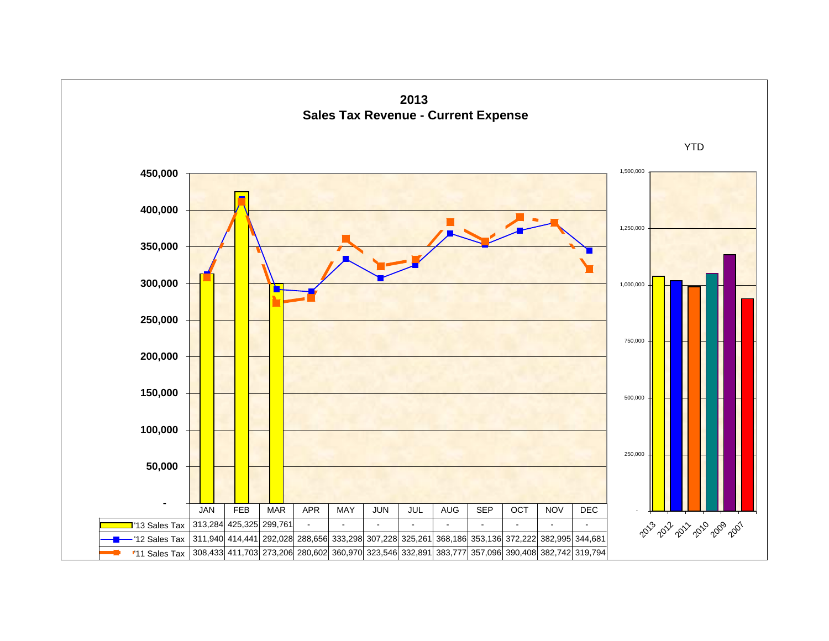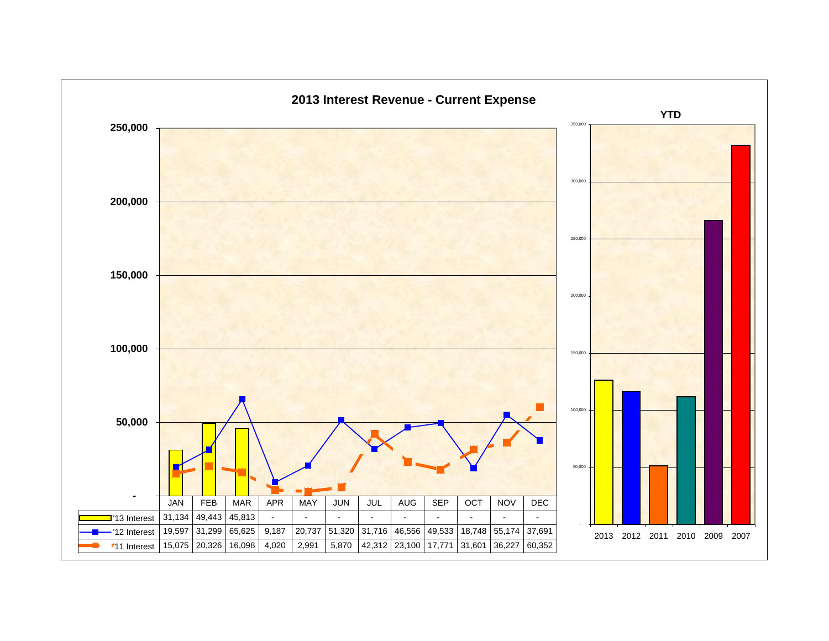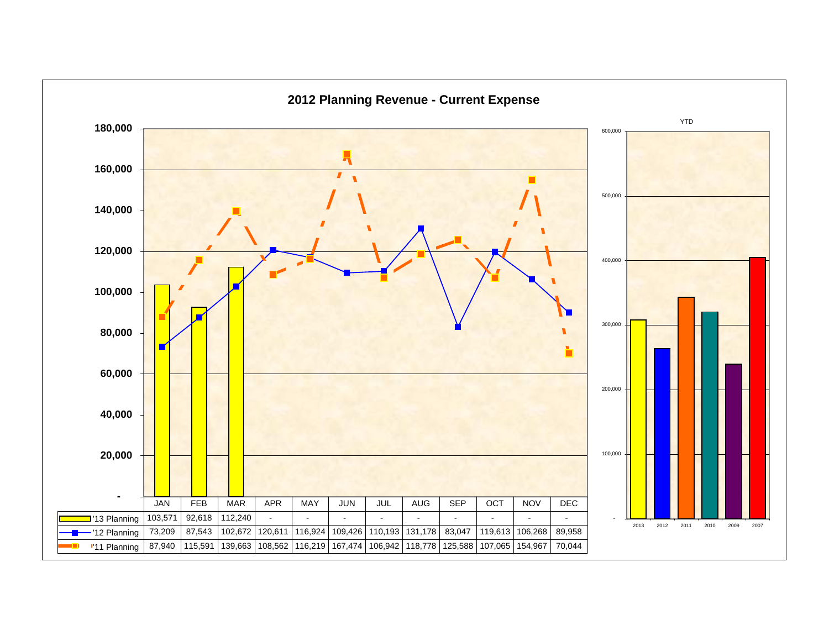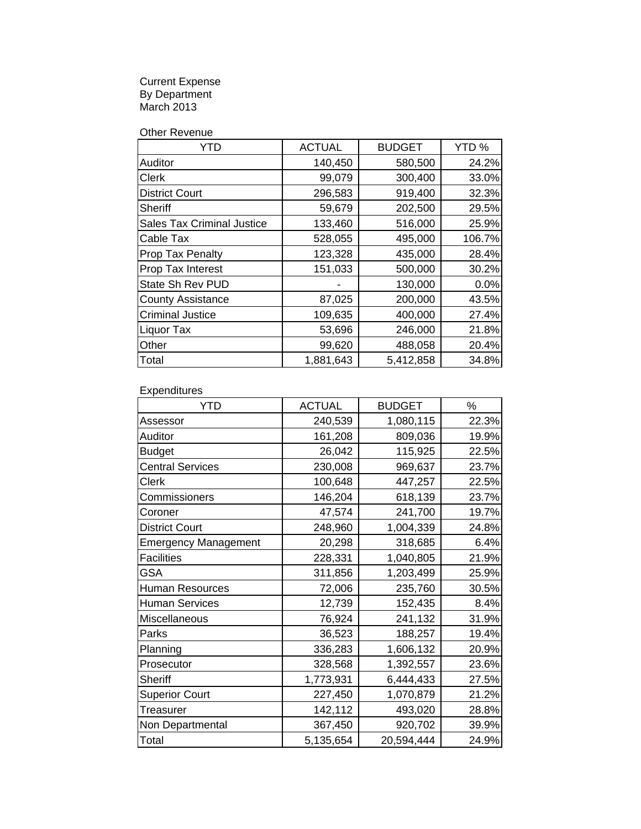Current Expense By Department March 2013

Other Revenue

| YTD                               | <b>ACTUAL</b> | <b>BUDGET</b> | YTD%   |
|-----------------------------------|---------------|---------------|--------|
| Auditor                           | 140,450       | 580,500       | 24.2%  |
| Clerk                             | 99,079        | 300,400       | 33.0%  |
| <b>District Court</b>             | 296,583       | 919,400       | 32.3%  |
| Sheriff                           | 59,679        | 202,500       | 29.5%  |
| <b>Sales Tax Criminal Justice</b> | 133,460       | 516,000       | 25.9%  |
| Cable Tax                         | 528,055       | 495,000       | 106.7% |
| Prop Tax Penalty                  | 123,328       | 435,000       | 28.4%  |
| Prop Tax Interest                 | 151,033       | 500,000       | 30.2%  |
| State Sh Rev PUD                  |               | 130,000       | 0.0%   |
| <b>County Assistance</b>          | 87,025        | 200,000       | 43.5%  |
| <b>Criminal Justice</b>           | 109,635       | 400,000       | 27.4%  |
| Liquor Tax                        | 53,696        | 246,000       | 21.8%  |
| Other                             | 99,620        | 488,058       | 20.4%  |
| Total                             | 1,881,643     | 5,412,858     | 34.8%  |

Expenditures

| <b>YTD</b>                  | <b>ACTUAL</b> | <b>BUDGET</b> | %     |
|-----------------------------|---------------|---------------|-------|
| Assessor                    | 240,539       | 1,080,115     | 22.3% |
| Auditor                     | 161,208       | 809,036       | 19.9% |
| <b>Budget</b>               | 26,042        | 115,925       | 22.5% |
| <b>Central Services</b>     | 230,008       | 969,637       | 23.7% |
| <b>Clerk</b>                | 100,648       | 447,257       | 22.5% |
| Commissioners               | 146,204       | 618,139       | 23.7% |
| Coroner                     | 47,574        | 241,700       | 19.7% |
| <b>District Court</b>       | 248,960       | 1,004,339     | 24.8% |
| <b>Emergency Management</b> | 20,298        | 318,685       | 6.4%  |
| <b>Facilities</b>           | 228,331       | 1,040,805     | 21.9% |
| <b>GSA</b>                  | 311,856       | 1,203,499     | 25.9% |
| <b>Human Resources</b>      | 72,006        | 235,760       | 30.5% |
| <b>Human Services</b>       | 12,739        | 152,435       | 8.4%  |
| Miscellaneous               | 76,924        | 241,132       | 31.9% |
| Parks                       | 36,523        | 188,257       | 19.4% |
| Planning                    | 336,283       | 1,606,132     | 20.9% |
| Prosecutor                  | 328,568       | 1,392,557     | 23.6% |
| Sheriff                     | 1,773,931     | 6,444,433     | 27.5% |
| <b>Superior Court</b>       | 227,450       | 1,070,879     | 21.2% |
| Treasurer                   | 142,112       | 493,020       | 28.8% |
| Non Departmental            | 367,450       | 920,702       | 39.9% |
| Total                       | 5,135,654     | 20,594,444    | 24.9% |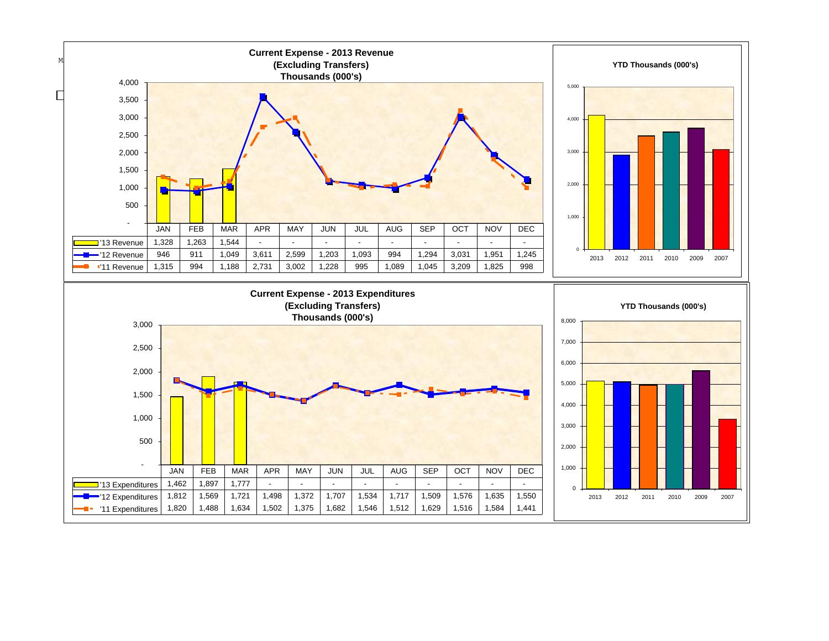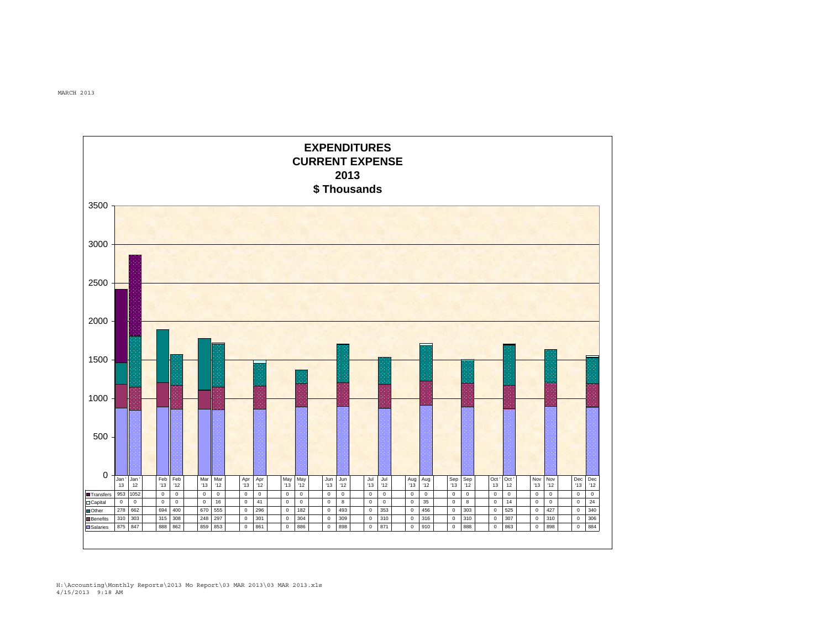

MARCH 2013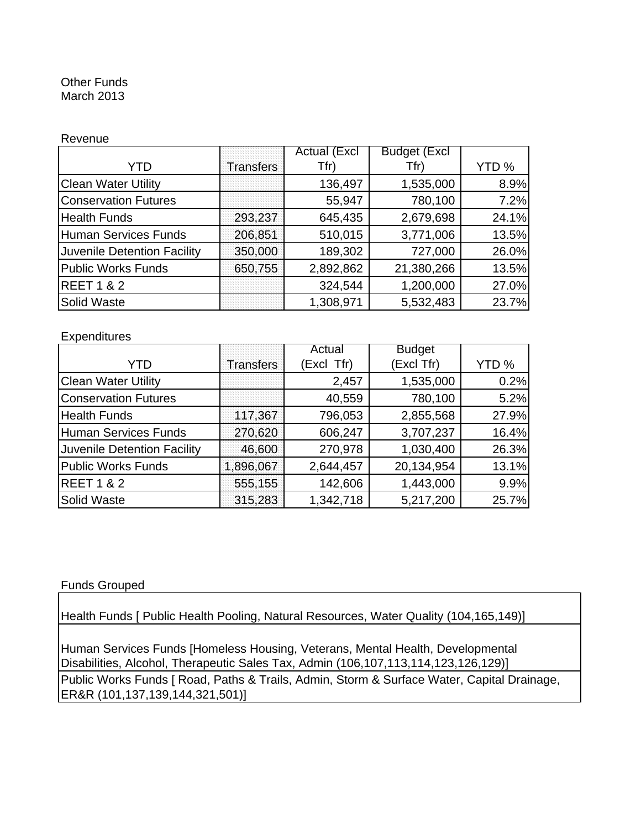#### Other Funds March 2013

#### Revenue

|                                    |           | <b>Actual (Excl</b> | <b>Budget (Excl</b> |                  |
|------------------------------------|-----------|---------------------|---------------------|------------------|
| YTD                                | Transfers | Tfr)                | Tfr)                | YTD <sub>%</sub> |
| <b>Clean Water Utility</b>         |           | 136,497             | 1,535,000           | 8.9%             |
| <b>Conservation Futures</b>        |           | 55,947              | 780,100             | 7.2%             |
| <b>Health Funds</b>                | 293,237   | 645,435             | 2,679,698           | 24.1%            |
| Human Services Funds               | 206,851   | 510,015             | 3,771,006           | 13.5%            |
| <b>Juvenile Detention Facility</b> | 350,000   | 189,302             | 727,000             | 26.0%            |
| <b>Public Works Funds</b>          | 650,755   | 2,892,862           | 21,380,266          | 13.5%            |
| <b>REET 1 &amp; 2</b>              |           | 324,544             | 1,200,000           | 27.0%            |
| Solid Waste                        |           | 1,308,971           | 5,532,483           | 23.7%            |

#### **Expenditures**

|                                    |                  | Actual     | <b>Budget</b> |       |
|------------------------------------|------------------|------------|---------------|-------|
| YTD                                | <b>Transfers</b> | (Excl Tfr) | (Excl Tfr)    | YTD % |
| <b>Clean Water Utility</b>         |                  | 2,457      | 1,535,000     | 0.2%  |
| <b>Conservation Futures</b>        |                  | 40,559     | 780,100       | 5.2%  |
| <b>Health Funds</b>                | 117,367          | 796,053    | 2,855,568     | 27.9% |
| Human Services Funds               | 270,620          | 606,247    | 3,707,237     | 16.4% |
| <b>Juvenile Detention Facility</b> | 46,600           | 270,978    | 1,030,400     | 26.3% |
| Public Works Funds                 | 1,896,067        | 2,644,457  | 20,134,954    | 13.1% |
| <b>REET 1 &amp; 2</b>              | 555,155          | 142,606    | 1,443,000     | 9.9%  |
| <b>Solid Waste</b>                 | 315,283          | 1,342,718  | 5,217,200     | 25.7% |

#### Funds Grouped

Health Funds [ Public Health Pooling, Natural Resources, Water Quality (104,165,149)]

Public Works Funds [ Road, Paths & Trails, Admin, Storm & Surface Water, Capital Drainage, ER&R (101,137,139,144,321,501)] Human Services Funds [Homeless Housing, Veterans, Mental Health, Developmental Disabilities, Alcohol, Therapeutic Sales Tax, Admin (106,107,113,114,123,126,129)]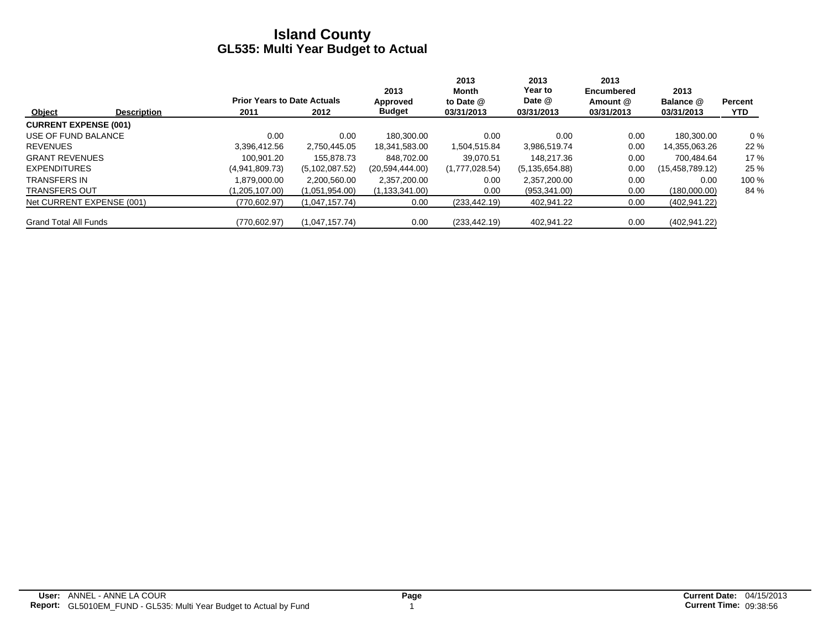|                              |                    |                                    |                  | 2013             | 2013<br>Month  | 2013<br>Year to  | 2013<br><b>Encumbered</b> | 2013               |                |
|------------------------------|--------------------|------------------------------------|------------------|------------------|----------------|------------------|---------------------------|--------------------|----------------|
|                              |                    | <b>Prior Years to Date Actuals</b> |                  | Approved         | to Date @      | Date @           | Amount @                  | Balance @          | <b>Percent</b> |
| Object                       | <b>Description</b> | 2011                               | 2012             | <b>Budget</b>    | 03/31/2013     | 03/31/2013       | 03/31/2013                | 03/31/2013         | <b>YTD</b>     |
| <b>CURRENT EXPENSE (001)</b> |                    |                                    |                  |                  |                |                  |                           |                    |                |
| USE OF FUND BALANCE          |                    | 0.00                               | 0.00             | 180.300.00       | 0.00           | 0.00             | 0.00                      | 180.300.00         | $0\%$          |
| <b>REVENUES</b>              |                    | 3.396.412.56                       | 2.750.445.05     | 18.341.583.00    | 1,504,515.84   | 3,986,519.74     | 0.00                      | 14,355,063.26      | 22 %           |
| <b>GRANT REVENUES</b>        |                    | 100.901.20                         | 155.878.73       | 848.702.00       | 39.070.51      | 148.217.36       | 0.00                      | 700.484.64         | 17%            |
| <b>EXPENDITURES</b>          |                    | (4,941,809.73)                     | (5, 102, 087.52) | (20,594,444.00)  | (1,777,028.54) | (5, 135, 654.88) | 0.00                      | (15, 458, 789, 12) | 25 %           |
| <b>TRANSFERS IN</b>          |                    | 1.879.000.00                       | 2,200,560.00     | 2,357,200.00     | 0.00           | 2,357,200.00     | 0.00                      | 0.00               | 100 %          |
| <b>TRANSFERS OUT</b>         |                    | (1,205,107.00)                     | (1,051,954.00)   | (1, 133, 341.00) | 0.00           | (953, 341.00)    | 0.00                      | (180,000.00)       | 84 %           |
| Net CURRENT EXPENSE (001)    |                    | (770,602.97)                       | (1,047,157.74)   | 0.00             | (233, 442.19)  | 402,941.22       | 0.00                      | (402, 941.22)      |                |
| <b>Grand Total All Funds</b> |                    | (770,602.97)                       | (1,047,157.74)   | 0.00             | (233, 442.19)  | 402,941.22       | 0.00                      | (402, 941.22)      |                |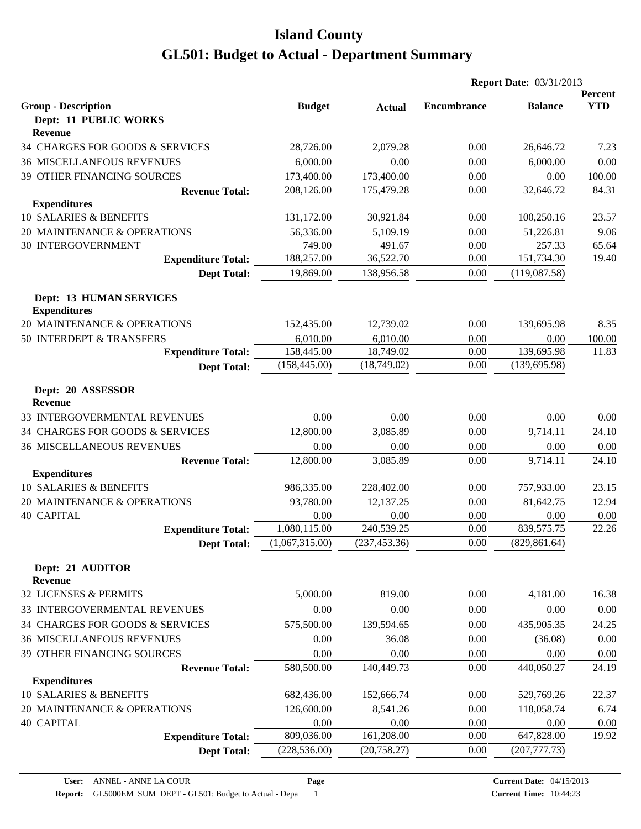|                                     |                |               | <b>Report Date: 03/31/2013</b> |                |                       |
|-------------------------------------|----------------|---------------|--------------------------------|----------------|-----------------------|
| <b>Group - Description</b>          | <b>Budget</b>  | <b>Actual</b> | <b>Encumbrance</b>             | <b>Balance</b> | Percent<br><b>YTD</b> |
| Dept: 11 PUBLIC WORKS               |                |               |                                |                |                       |
| <b>Revenue</b>                      |                |               |                                |                |                       |
| 34 CHARGES FOR GOODS & SERVICES     | 28,726.00      | 2,079.28      | 0.00                           | 26,646.72      | 7.23                  |
| <b>36 MISCELLANEOUS REVENUES</b>    | 6,000.00       | 0.00          | 0.00                           | 6,000.00       | 0.00                  |
| 39 OTHER FINANCING SOURCES          | 173,400.00     | 173,400.00    | 0.00                           | 0.00           | 100.00                |
| <b>Revenue Total:</b>               | 208,126.00     | 175,479.28    | 0.00                           | 32,646.72      | 84.31                 |
| <b>Expenditures</b>                 |                |               |                                |                |                       |
| 10 SALARIES & BENEFITS              | 131,172.00     | 30,921.84     | 0.00                           | 100,250.16     | 23.57                 |
| 20 MAINTENANCE & OPERATIONS         | 56,336.00      | 5,109.19      | 0.00                           | 51,226.81      | 9.06                  |
| <b>30 INTERGOVERNMENT</b>           | 749.00         | 491.67        | 0.00                           | 257.33         | 65.64                 |
| <b>Expenditure Total:</b>           | 188,257.00     | 36,522.70     | 0.00                           | 151,734.30     | 19.40                 |
| <b>Dept Total:</b>                  | 19,869.00      | 138,956.58    | 0.00                           | (119,087.58)   |                       |
| <b>Dept: 13 HUMAN SERVICES</b>      |                |               |                                |                |                       |
| <b>Expenditures</b>                 |                |               |                                |                |                       |
| 20 MAINTENANCE & OPERATIONS         | 152,435.00     | 12,739.02     | 0.00                           | 139,695.98     | 8.35                  |
| 50 INTERDEPT & TRANSFERS            | 6,010.00       | 6,010.00      | 0.00                           | 0.00           | 100.00                |
| <b>Expenditure Total:</b>           | 158,445.00     | 18,749.02     | 0.00                           | 139,695.98     | 11.83                 |
| <b>Dept Total:</b>                  | (158, 445.00)  | (18,749.02)   | 0.00                           | (139, 695.98)  |                       |
| Dept: 20 ASSESSOR<br><b>Revenue</b> |                |               |                                |                |                       |
| 33 INTERGOVERMENTAL REVENUES        | 0.00           | 0.00          | 0.00                           | 0.00           | 0.00                  |
| 34 CHARGES FOR GOODS & SERVICES     | 12,800.00      | 3,085.89      | 0.00                           | 9,714.11       | 24.10                 |
| <b>36 MISCELLANEOUS REVENUES</b>    | 0.00           | 0.00          | 0.00                           | 0.00           | 0.00                  |
| <b>Revenue Total:</b>               | 12,800.00      | 3,085.89      | 0.00                           | 9,714.11       | 24.10                 |
| <b>Expenditures</b>                 |                |               |                                |                |                       |
| 10 SALARIES & BENEFITS              | 986,335.00     | 228,402.00    | 0.00                           | 757,933.00     | 23.15                 |
| 20 MAINTENANCE & OPERATIONS         | 93,780.00      | 12,137.25     | 0.00                           | 81,642.75      | 12.94                 |
| <b>40 CAPITAL</b>                   | 0.00           | 0.00          | 0.00                           | 0.00           | 0.00                  |
| <b>Expenditure Total:</b>           | 1,080,115.00   | 240,539.25    | 0.00                           | 839,575.75     | 22.26                 |
| <b>Dept Total:</b>                  | (1,067,315.00) | (237, 453.36) | 0.00                           | (829, 861.64)  |                       |
| Dept: 21 AUDITOR<br><b>Revenue</b>  |                |               |                                |                |                       |
| 32 LICENSES & PERMITS               | 5,000.00       | 819.00        | 0.00                           | 4,181.00       | 16.38                 |
| 33 INTERGOVERMENTAL REVENUES        | 0.00           | 0.00          | 0.00                           | 0.00           | 0.00                  |
| 34 CHARGES FOR GOODS & SERVICES     | 575,500.00     | 139,594.65    | 0.00                           | 435,905.35     | 24.25                 |
| <b>36 MISCELLANEOUS REVENUES</b>    | 0.00           | 36.08         | 0.00                           | (36.08)        | 0.00                  |
| <b>39 OTHER FINANCING SOURCES</b>   | 0.00           | 0.00          | 0.00                           | 0.00           | 0.00                  |
| <b>Revenue Total:</b>               | 580,500.00     | 140,449.73    | 0.00                           | 440,050.27     | 24.19                 |
| <b>Expenditures</b>                 |                |               |                                |                |                       |
| 10 SALARIES & BENEFITS              | 682,436.00     | 152,666.74    | 0.00                           | 529,769.26     | 22.37                 |
| 20 MAINTENANCE & OPERATIONS         | 126,600.00     | 8,541.26      | 0.00                           | 118,058.74     | 6.74                  |
| <b>40 CAPITAL</b>                   | 0.00           | 0.00          | 0.00                           | 0.00           | 0.00                  |
| <b>Expenditure Total:</b>           | 809,036.00     | 161,208.00    | 0.00                           | 647,828.00     | 19.92                 |
| <b>Dept Total:</b>                  | (228, 536.00)  | (20, 758.27)  | 0.00                           | (207, 777.73)  |                       |
|                                     |                |               |                                |                |                       |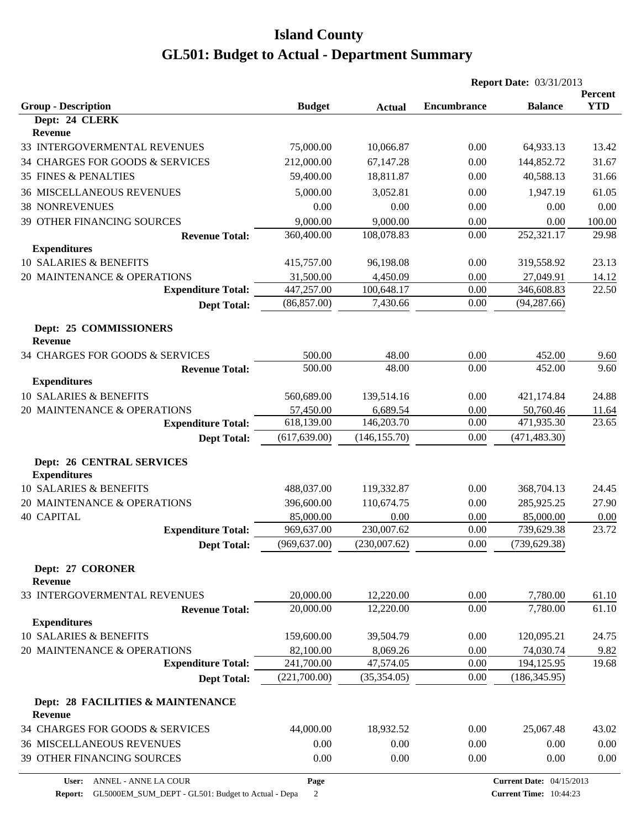|                                                         |                         |               |                    | <b>Report Date: 03/31/2013</b>  |                       |
|---------------------------------------------------------|-------------------------|---------------|--------------------|---------------------------------|-----------------------|
| <b>Group - Description</b>                              | <b>Budget</b>           | <b>Actual</b> | <b>Encumbrance</b> | <b>Balance</b>                  | Percent<br><b>YTD</b> |
| Dept: 24 CLERK                                          |                         |               |                    |                                 |                       |
| Revenue                                                 |                         |               |                    |                                 |                       |
| 33 INTERGOVERMENTAL REVENUES                            | 75,000.00               | 10,066.87     | 0.00               | 64,933.13                       | 13.42                 |
| 34 CHARGES FOR GOODS & SERVICES                         | 212,000.00              | 67,147.28     | 0.00               | 144,852.72                      | 31.67                 |
| <b>35 FINES &amp; PENALTIES</b>                         | 59,400.00               | 18,811.87     | 0.00               | 40,588.13                       | 31.66                 |
| <b>36 MISCELLANEOUS REVENUES</b>                        | 5,000.00                | 3,052.81      | 0.00               | 1,947.19                        | 61.05                 |
| <b>38 NONREVENUES</b>                                   | 0.00                    | 0.00          | 0.00               | 0.00                            | 0.00                  |
| 39 OTHER FINANCING SOURCES                              | 9,000.00                | 9,000.00      | 0.00               | 0.00                            | 100.00                |
| <b>Revenue Total:</b>                                   | 360,400.00              | 108,078.83    | 0.00               | 252,321.17                      | 29.98                 |
| <b>Expenditures</b>                                     |                         |               |                    |                                 |                       |
| 10 SALARIES & BENEFITS                                  | 415,757.00              | 96,198.08     | 0.00               | 319,558.92                      | 23.13                 |
| 20 MAINTENANCE & OPERATIONS                             | 31,500.00               | 4,450.09      | 0.00               | 27,049.91                       | 14.12                 |
| <b>Expenditure Total:</b>                               | 447,257.00              | 100,648.17    | 0.00               | 346,608.83                      | 22.50                 |
| <b>Dept Total:</b>                                      | (86, 857.00)            | 7,430.66      | 0.00               | (94, 287.66)                    |                       |
| Dept: 25 COMMISSIONERS<br><b>Revenue</b>                |                         |               |                    |                                 |                       |
| 34 CHARGES FOR GOODS & SERVICES                         | 500.00                  | 48.00         | 0.00               | 452.00                          | 9.60                  |
| <b>Revenue Total:</b>                                   | 500.00                  | 48.00         | 0.00               | 452.00                          | 9.60                  |
| <b>Expenditures</b>                                     |                         |               |                    |                                 |                       |
| 10 SALARIES & BENEFITS                                  | 560,689.00              | 139,514.16    | 0.00               | 421,174.84                      | 24.88                 |
| 20 MAINTENANCE & OPERATIONS                             | 57,450.00               | 6,689.54      | 0.00               | 50,760.46                       | 11.64                 |
| <b>Expenditure Total:</b>                               | 618,139.00              | 146,203.70    | 0.00               | 471,935.30                      | 23.65                 |
| <b>Dept Total:</b>                                      | (617, 639.00)           | (146, 155.70) | 0.00               | (471, 483.30)                   |                       |
| <b>Dept: 26 CENTRAL SERVICES</b><br><b>Expenditures</b> |                         |               |                    |                                 |                       |
| 10 SALARIES & BENEFITS                                  | 488,037.00              | 119,332.87    | 0.00               | 368,704.13                      | 24.45                 |
| 20 MAINTENANCE & OPERATIONS                             | 396,600.00              | 110,674.75    | 0.00               | 285,925.25                      | 27.90                 |
| <b>40 CAPITAL</b>                                       | 85,000.00               | 0.00          | 0.00               | 85,000.00                       | 0.00                  |
| <b>Expenditure Total:</b>                               | 969,637.00              | 230,007.62    | 0.00               | 739,629.38                      | 23.72                 |
| <b>Dept Total:</b>                                      | (969, 637.00)           | (230,007.62)  | $0.00\,$           | (739, 629.38)                   |                       |
| Dept: 27 CORONER                                        |                         |               |                    |                                 |                       |
| Revenue                                                 |                         |               |                    |                                 |                       |
| 33 INTERGOVERMENTAL REVENUES                            | 20,000.00               | 12,220.00     | 0.00               | 7,780.00                        | 61.10                 |
| <b>Revenue Total:</b>                                   | 20,000.00               | 12,220.00     | 0.00               | 7,780.00                        | 61.10                 |
| <b>Expenditures</b><br>10 SALARIES & BENEFITS           | 159,600.00              | 39,504.79     | 0.00               | 120,095.21                      | 24.75                 |
| 20 MAINTENANCE & OPERATIONS                             |                         | 8,069.26      | 0.00               |                                 |                       |
| <b>Expenditure Total:</b>                               | 82,100.00<br>241,700.00 | 47,574.05     | 0.00               | 74,030.74<br>194,125.95         | 9.82<br>19.68         |
| <b>Dept Total:</b>                                      | (221,700.00)            | (35, 354.05)  | 0.00               | (186, 345.95)                   |                       |
|                                                         |                         |               |                    |                                 |                       |
| Dept: 28 FACILITIES & MAINTENANCE<br>Revenue            |                         |               |                    |                                 |                       |
| 34 CHARGES FOR GOODS & SERVICES                         | 44,000.00               | 18,932.52     | 0.00               | 25,067.48                       | 43.02                 |
| <b>36 MISCELLANEOUS REVENUES</b>                        | 0.00                    | 0.00          | 0.00               | 0.00                            | 0.00                  |
| 39 OTHER FINANCING SOURCES                              | 0.00                    | 0.00          | 0.00               | 0.00                            | 0.00                  |
| User: ANNEL - ANNE LA COUR                              | Page                    |               |                    | <b>Current Date: 04/15/2013</b> |                       |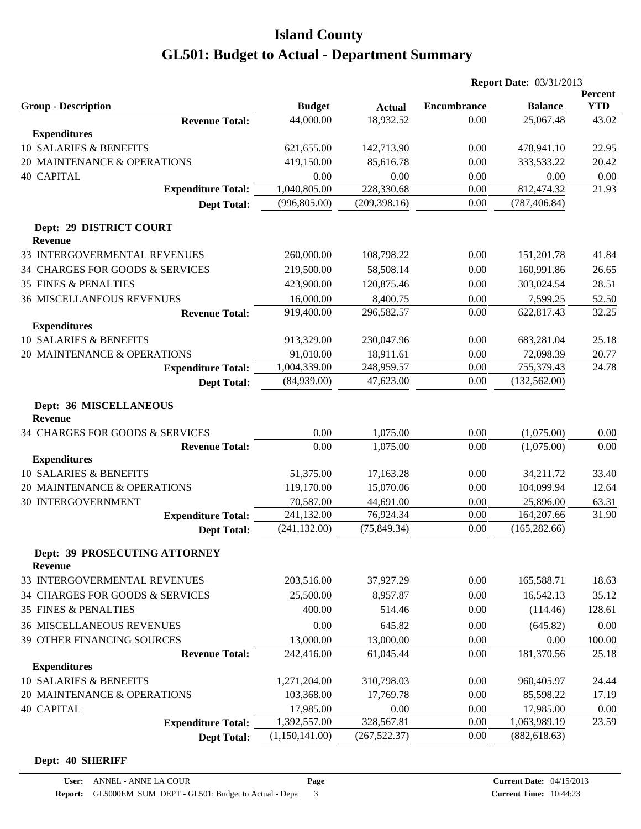|                                                 |                            |                            |                            | <b>Report Date: 03/31/2013</b> |                     |
|-------------------------------------------------|----------------------------|----------------------------|----------------------------|--------------------------------|---------------------|
|                                                 |                            |                            |                            |                                | Percent             |
| <b>Group - Description</b>                      | <b>Budget</b><br>44,000.00 | <b>Actual</b><br>18,932.52 | <b>Encumbrance</b><br>0.00 | <b>Balance</b><br>25,067.48    | <b>YTD</b><br>43.02 |
| <b>Revenue Total:</b><br><b>Expenditures</b>    |                            |                            |                            |                                |                     |
| 10 SALARIES & BENEFITS                          | 621,655.00                 | 142,713.90                 | 0.00                       | 478,941.10                     | 22.95               |
| 20 MAINTENANCE & OPERATIONS                     | 419,150.00                 | 85,616.78                  | 0.00                       | 333,533.22                     | 20.42               |
| <b>40 CAPITAL</b>                               | 0.00                       | 0.00                       | 0.00                       | 0.00                           | 0.00                |
| <b>Expenditure Total:</b>                       | 1,040,805.00               | 228,330.68                 | 0.00                       | 812,474.32                     | 21.93               |
| <b>Dept Total:</b>                              | (996, 805.00)              | (209, 398.16)              | 0.00                       | (787, 406.84)                  |                     |
|                                                 |                            |                            |                            |                                |                     |
| Dept: 29 DISTRICT COURT<br><b>Revenue</b>       |                            |                            |                            |                                |                     |
| 33 INTERGOVERMENTAL REVENUES                    | 260,000.00                 | 108,798.22                 | 0.00                       | 151,201.78                     | 41.84               |
| 34 CHARGES FOR GOODS & SERVICES                 | 219,500.00                 | 58,508.14                  | 0.00                       | 160,991.86                     | 26.65               |
| <b>35 FINES &amp; PENALTIES</b>                 | 423,900.00                 | 120,875.46                 | 0.00                       | 303,024.54                     | 28.51               |
| <b>36 MISCELLANEOUS REVENUES</b>                | 16,000.00                  | 8,400.75                   | 0.00                       | 7,599.25                       | 52.50               |
| <b>Revenue Total:</b>                           | 919,400.00                 | 296,582.57                 | 0.00                       | 622,817.43                     | 32.25               |
| <b>Expenditures</b>                             |                            |                            |                            |                                |                     |
| 10 SALARIES & BENEFITS                          | 913,329.00                 | 230,047.96                 | 0.00                       | 683,281.04                     | 25.18               |
| 20 MAINTENANCE & OPERATIONS                     | 91,010.00                  | 18,911.61                  | 0.00                       | 72,098.39                      | 20.77               |
| <b>Expenditure Total:</b>                       | 1,004,339.00               | 248,959.57                 | 0.00                       | 755,379.43                     | 24.78               |
| <b>Dept Total:</b>                              | (84,939.00)                | 47,623.00                  | 0.00                       | (132, 562.00)                  |                     |
| Dept: 36 MISCELLANEOUS<br><b>Revenue</b>        |                            |                            |                            |                                |                     |
| 34 CHARGES FOR GOODS & SERVICES                 | 0.00                       | 1,075.00                   | 0.00                       | (1,075.00)                     | 0.00                |
| <b>Revenue Total:</b>                           | 0.00                       | 1,075.00                   | 0.00                       | (1,075.00)                     | 0.00                |
| <b>Expenditures</b>                             |                            |                            |                            |                                |                     |
| 10 SALARIES & BENEFITS                          | 51,375.00                  | 17,163.28                  | 0.00                       | 34,211.72                      | 33.40               |
| 20 MAINTENANCE & OPERATIONS                     | 119,170.00                 | 15,070.06                  | 0.00                       | 104,099.94                     | 12.64               |
| <b>30 INTERGOVERNMENT</b>                       | 70,587.00                  | 44,691.00                  | 0.00                       | 25,896.00                      | 63.31               |
| <b>Expenditure Total:</b>                       | 241,132.00                 | 76,924.34                  | 0.00                       | 164,207.66                     | 31.90               |
| <b>Dept Total:</b>                              | (241, 132.00)              | (75, 849.34)               | 0.00                       | (165, 282.66)                  |                     |
| Dept: 39 PROSECUTING ATTORNEY<br><b>Revenue</b> |                            |                            |                            |                                |                     |
| 33 INTERGOVERMENTAL REVENUES                    | 203,516.00                 | 37,927.29                  | 0.00                       | 165,588.71                     | 18.63               |
| 34 CHARGES FOR GOODS & SERVICES                 | 25,500.00                  | 8,957.87                   | 0.00                       | 16,542.13                      | 35.12               |
| <b>35 FINES &amp; PENALTIES</b>                 | 400.00                     | 514.46                     | 0.00                       | (114.46)                       | 128.61              |
| <b>36 MISCELLANEOUS REVENUES</b>                | 0.00                       | 645.82                     | 0.00                       | (645.82)                       | 0.00                |
| 39 OTHER FINANCING SOURCES                      | 13,000.00                  | 13,000.00                  | 0.00                       | 0.00                           | 100.00              |
| <b>Revenue Total:</b>                           | 242,416.00                 | 61,045.44                  | 0.00                       | 181,370.56                     | 25.18               |
| <b>Expenditures</b>                             |                            |                            |                            |                                |                     |
| 10 SALARIES & BENEFITS                          | 1,271,204.00               | 310,798.03                 | 0.00                       | 960,405.97                     | 24.44               |
| 20 MAINTENANCE & OPERATIONS                     | 103,368.00                 | 17,769.78                  | 0.00                       | 85,598.22                      | 17.19               |
| <b>40 CAPITAL</b>                               | 17,985.00                  | 0.00                       | 0.00                       | 17,985.00                      | 0.00                |
| <b>Expenditure Total:</b>                       | 1,392,557.00               | 328,567.81                 | 0.00                       | 1,063,989.19                   | 23.59               |
| <b>Dept Total:</b>                              | (1,150,141.00)             | (267, 522.37)              | 0.00                       | (882, 618.63)                  |                     |

#### **Dept: 40 SHERIFF**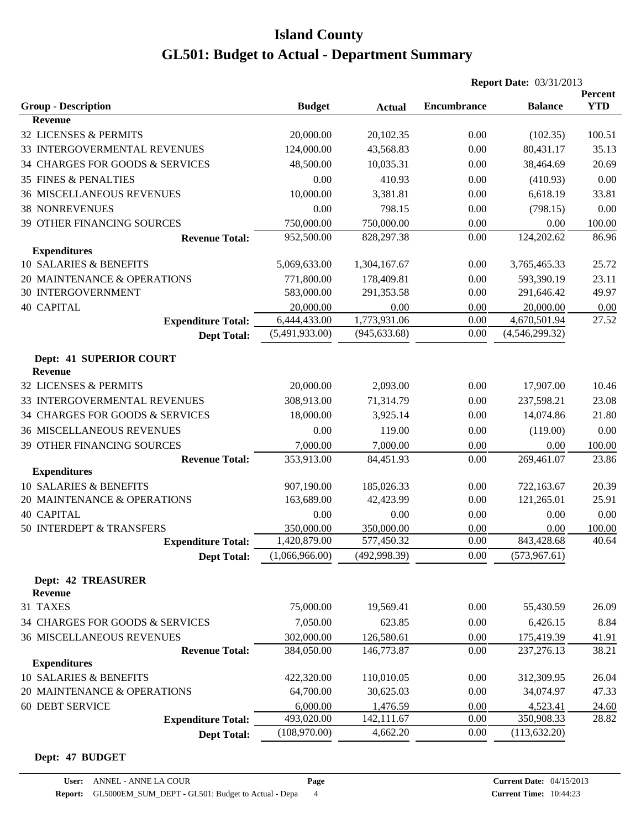|                                           |                |               |             | <b>Report Date: 03/31/2013</b> |            |
|-------------------------------------------|----------------|---------------|-------------|--------------------------------|------------|
|                                           |                |               |             |                                | Percent    |
| <b>Group - Description</b>                | <b>Budget</b>  | <b>Actual</b> | Encumbrance | <b>Balance</b>                 | <b>YTD</b> |
| <b>Revenue</b>                            |                |               |             |                                |            |
| 32 LICENSES & PERMITS                     | 20,000.00      | 20,102.35     | 0.00        | (102.35)                       | 100.51     |
| 33 INTERGOVERMENTAL REVENUES              | 124,000.00     | 43,568.83     | 0.00        | 80,431.17                      | 35.13      |
| 34 CHARGES FOR GOODS & SERVICES           | 48,500.00      | 10,035.31     | 0.00        | 38,464.69                      | 20.69      |
| <b>35 FINES &amp; PENALTIES</b>           | 0.00           | 410.93        | 0.00        | (410.93)                       | 0.00       |
| <b>36 MISCELLANEOUS REVENUES</b>          | 10,000.00      | 3,381.81      | 0.00        | 6,618.19                       | 33.81      |
| <b>38 NONREVENUES</b>                     | 0.00           | 798.15        | 0.00        | (798.15)                       | 0.00       |
| 39 OTHER FINANCING SOURCES                | 750,000.00     | 750,000.00    | 0.00        | 0.00                           | 100.00     |
| <b>Revenue Total:</b>                     | 952,500.00     | 828,297.38    | 0.00        | 124,202.62                     | 86.96      |
| <b>Expenditures</b>                       |                |               |             |                                |            |
| 10 SALARIES & BENEFITS                    | 5,069,633.00   | 1,304,167.67  | 0.00        | 3,765,465.33                   | 25.72      |
| 20 MAINTENANCE & OPERATIONS               | 771,800.00     | 178,409.81    | 0.00        | 593,390.19                     | 23.11      |
| <b>30 INTERGOVERNMENT</b>                 | 583,000.00     | 291,353.58    | 0.00        | 291,646.42                     | 49.97      |
| <b>40 CAPITAL</b>                         | 20,000.00      | 0.00          | 0.00        | 20,000.00                      | 0.00       |
| <b>Expenditure Total:</b>                 | 6,444,433.00   | 1,773,931.06  | 0.00        | 4,670,501.94                   | 27.52      |
| <b>Dept Total:</b>                        | (5,491,933.00) | (945, 633.68) | 0.00        | (4,546,299.32)                 |            |
|                                           |                |               |             |                                |            |
| Dept: 41 SUPERIOR COURT<br><b>Revenue</b> |                |               |             |                                |            |
| 32 LICENSES & PERMITS                     | 20,000.00      | 2,093.00      | 0.00        | 17,907.00                      | 10.46      |
| 33 INTERGOVERMENTAL REVENUES              | 308,913.00     | 71,314.79     | 0.00        | 237,598.21                     | 23.08      |
|                                           |                |               |             |                                |            |
| 34 CHARGES FOR GOODS & SERVICES           | 18,000.00      | 3,925.14      | 0.00        | 14,074.86                      | 21.80      |
| <b>36 MISCELLANEOUS REVENUES</b>          | 0.00           | 119.00        | 0.00        | (119.00)                       | 0.00       |
| 39 OTHER FINANCING SOURCES                | 7,000.00       | 7,000.00      | 0.00        | 0.00                           | 100.00     |
| <b>Revenue Total:</b>                     | 353,913.00     | 84,451.93     | 0.00        | 269,461.07                     | 23.86      |
| <b>Expenditures</b>                       |                |               |             |                                |            |
| 10 SALARIES & BENEFITS                    | 907,190.00     | 185,026.33    | 0.00        | 722,163.67                     | 20.39      |
| 20 MAINTENANCE & OPERATIONS               | 163,689.00     | 42,423.99     | 0.00        | 121,265.01                     | 25.91      |
| <b>40 CAPITAL</b>                         | 0.00           | 0.00          | 0.00        | 0.00                           | 0.00       |
| 50 INTERDEPT & TRANSFERS                  | 350,000.00     | 350,000.00    | 0.00        | 0.00                           | 100.00     |
| <b>Expenditure Total:</b>                 | 1,420,879.00   | 577,450.32    | 0.00        | 843,428.68                     | 40.64      |
| <b>Dept Total:</b>                        | (1,066,966.00) | (492,998.39)  | 0.00        | (573, 967.61)                  |            |
| <b>Dept: 42 TREASURER</b>                 |                |               |             |                                |            |
| Revenue                                   |                |               |             |                                |            |
| 31 TAXES                                  | 75,000.00      | 19,569.41     | 0.00        | 55,430.59                      | 26.09      |
| 34 CHARGES FOR GOODS & SERVICES           | 7,050.00       | 623.85        | 0.00        | 6,426.15                       | 8.84       |
| <b>36 MISCELLANEOUS REVENUES</b>          | 302,000.00     | 126,580.61    | 0.00        | 175,419.39                     | 41.91      |
| <b>Revenue Total:</b>                     | 384,050.00     | 146,773.87    | 0.00        | 237,276.13                     | 38.21      |
| <b>Expenditures</b>                       |                |               |             |                                |            |
| 10 SALARIES & BENEFITS                    | 422,320.00     | 110,010.05    | 0.00        | 312,309.95                     | 26.04      |
| 20 MAINTENANCE & OPERATIONS               | 64,700.00      | 30,625.03     | 0.00        | 34,074.97                      | 47.33      |
| <b>60 DEBT SERVICE</b>                    | 6,000.00       | 1,476.59      | 0.00        | 4,523.41                       | 24.60      |
| <b>Expenditure Total:</b>                 | 493,020.00     | 142,111.67    | 0.00        | 350,908.33                     | 28.82      |
| <b>Dept Total:</b>                        | (108,970.00)   | 4,662.20      | 0.00        | (113, 632.20)                  |            |

#### **Dept: 47 BUDGET**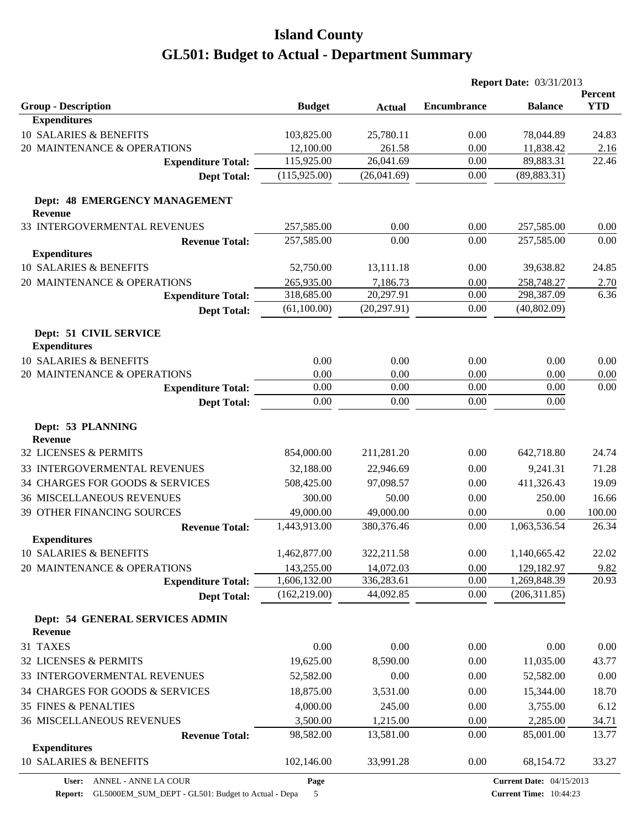|                                                   |               |               |                    | <b>Report Date: 03/31/2013</b> |                       |
|---------------------------------------------------|---------------|---------------|--------------------|--------------------------------|-----------------------|
| <b>Group - Description</b>                        | <b>Budget</b> | <b>Actual</b> | <b>Encumbrance</b> | <b>Balance</b>                 | Percent<br><b>YTD</b> |
| <b>Expenditures</b>                               |               |               |                    |                                |                       |
| 10 SALARIES & BENEFITS                            | 103,825.00    | 25,780.11     | 0.00               | 78,044.89                      | 24.83                 |
| 20 MAINTENANCE & OPERATIONS                       | 12,100.00     | 261.58        | 0.00               | 11,838.42                      | 2.16                  |
| <b>Expenditure Total:</b>                         | 115,925.00    | 26,041.69     | 0.00               | 89,883.31                      | 22.46                 |
| <b>Dept Total:</b>                                | (115, 925.00) | (26,041.69)   | 0.00               | (89, 883.31)                   |                       |
| Dept: 48 EMERGENCY MANAGEMENT<br><b>Revenue</b>   |               |               |                    |                                |                       |
| 33 INTERGOVERMENTAL REVENUES                      | 257,585.00    | 0.00          | 0.00               | 257,585.00                     | 0.00                  |
| <b>Revenue Total:</b>                             | 257,585.00    | 0.00          | 0.00               | 257,585.00                     | 0.00                  |
| <b>Expenditures</b>                               |               |               |                    |                                |                       |
| 10 SALARIES & BENEFITS                            | 52,750.00     | 13,111.18     | 0.00               | 39,638.82                      | 24.85                 |
| 20 MAINTENANCE & OPERATIONS                       | 265,935.00    | 7,186.73      | 0.00               | 258,748.27                     | 2.70                  |
| <b>Expenditure Total:</b>                         | 318,685.00    | 20,297.91     | 0.00               | 298,387.09                     | 6.36                  |
| <b>Dept Total:</b>                                | (61,100.00)   | (20, 297.91)  | $0.00\,$           | (40, 802.09)                   |                       |
| Dept: 51 CIVIL SERVICE<br><b>Expenditures</b>     |               |               |                    |                                |                       |
| 10 SALARIES & BENEFITS                            | 0.00          | 0.00          | 0.00               | 0.00                           | 0.00                  |
| 20 MAINTENANCE & OPERATIONS                       | 0.00          | 0.00          | 0.00               | 0.00                           | 0.00                  |
| <b>Expenditure Total:</b>                         | 0.00          | 0.00          | 0.00               | 0.00                           | 0.00                  |
| <b>Dept Total:</b>                                | 0.00          | 0.00          | 0.00               | 0.00                           |                       |
| Dept: 53 PLANNING<br><b>Revenue</b>               |               |               |                    |                                |                       |
| 32 LICENSES & PERMITS                             | 854,000.00    | 211,281.20    | 0.00               | 642,718.80                     | 24.74                 |
| 33 INTERGOVERMENTAL REVENUES                      | 32,188.00     | 22,946.69     | 0.00               | 9,241.31                       | 71.28                 |
| 34 CHARGES FOR GOODS & SERVICES                   | 508,425.00    | 97,098.57     | 0.00               | 411,326.43                     | 19.09                 |
| <b>36 MISCELLANEOUS REVENUES</b>                  | 300.00        | 50.00         | 0.00               | 250.00                         | 16.66                 |
| <b>39 OTHER FINANCING SOURCES</b>                 | 49,000.00     | 49,000.00     | 0.00               | 0.00                           | 100.00                |
| <b>Revenue Total:</b>                             | 1,443,913.00  | 380,376.46    | 0.00               | 1,063,536.54                   | 26.34                 |
| <b>Expenditures</b>                               |               |               |                    |                                |                       |
| 10 SALARIES & BENEFITS                            | 1,462,877.00  | 322,211.58    | 0.00               | 1,140,665.42                   | 22.02                 |
| 20 MAINTENANCE & OPERATIONS                       | 143,255.00    | 14,072.03     | 0.00               | 129,182.97                     | 9.82                  |
| <b>Expenditure Total:</b>                         | 1,606,132.00  | 336,283.61    | 0.00               | 1,269,848.39                   | 20.93                 |
| <b>Dept Total:</b>                                | (162, 219.00) | 44,092.85     | 0.00               | (206, 311.85)                  |                       |
| Dept: 54 GENERAL SERVICES ADMIN<br><b>Revenue</b> |               |               |                    |                                |                       |
| 31 TAXES                                          | 0.00          | 0.00          | 0.00               | 0.00                           | 0.00                  |
| 32 LICENSES & PERMITS                             | 19,625.00     | 8,590.00      | 0.00               | 11,035.00                      | 43.77                 |
| 33 INTERGOVERMENTAL REVENUES                      | 52,582.00     | 0.00          | 0.00               | 52,582.00                      | 0.00                  |
| 34 CHARGES FOR GOODS & SERVICES                   | 18,875.00     | 3,531.00      | 0.00               | 15,344.00                      | 18.70                 |
| 35 FINES & PENALTIES                              | 4,000.00      | 245.00        | 0.00               | 3,755.00                       | 6.12                  |
| 36 MISCELLANEOUS REVENUES                         | 3,500.00      | 1,215.00      | 0.00               | 2,285.00                       | 34.71                 |
| <b>Revenue Total:</b>                             | 98,582.00     | 13,581.00     | 0.00               | 85,001.00                      | 13.77                 |
| <b>Expenditures</b>                               |               |               |                    |                                |                       |
| 10 SALARIES & BENEFITS                            | 102,146.00    | 33,991.28     | 0.00               | 68,154.72                      | 33.27                 |
|                                                   |               |               |                    |                                |                       |

**Page**

**Report:** GL5000EM\_SUM\_DEPT - GL501: Budget to Actual - Depa 5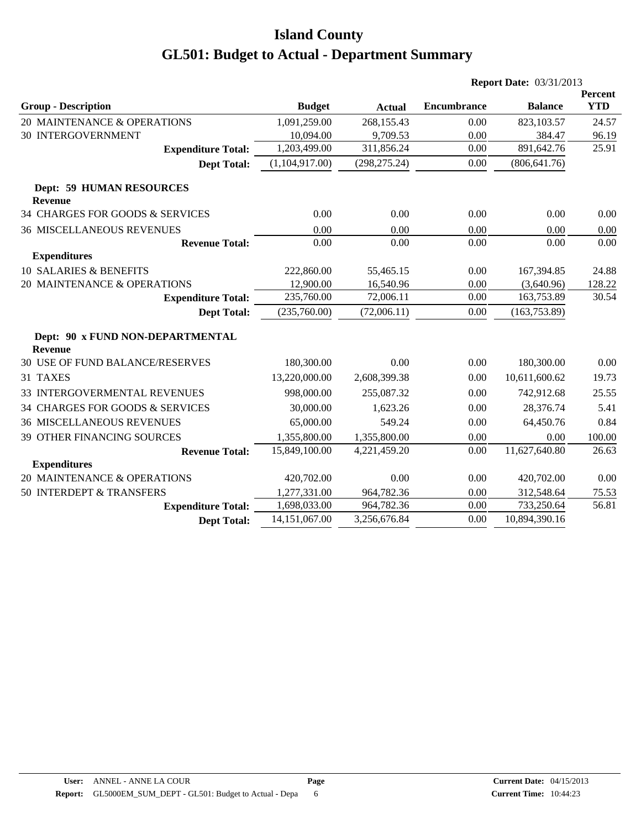|                                                    |                           |                        |                    | <b>Report Date: 03/31/2013</b> |                       |
|----------------------------------------------------|---------------------------|------------------------|--------------------|--------------------------------|-----------------------|
|                                                    |                           |                        | <b>Encumbrance</b> | <b>Balance</b>                 | Percent<br><b>YTD</b> |
| <b>Group - Description</b>                         | <b>Budget</b>             | <b>Actual</b>          |                    |                                |                       |
| 20 MAINTENANCE & OPERATIONS                        | 1,091,259.00              | 268,155.43             | 0.00               | 823,103.57                     | 24.57                 |
| 30 INTERGOVERNMENT                                 | 10,094.00<br>1,203,499.00 | 9,709.53<br>311,856.24 | 0.00<br>0.00       | 384.47<br>891,642.76           | 96.19<br>25.91        |
| <b>Expenditure Total:</b>                          |                           |                        |                    |                                |                       |
| <b>Dept Total:</b>                                 | (1,104,917.00)            | (298, 275.24)          | 0.00               | (806, 641.76)                  |                       |
| <b>Dept: 59 HUMAN RESOURCES</b><br><b>Revenue</b>  |                           |                        |                    |                                |                       |
| 34 CHARGES FOR GOODS & SERVICES                    | 0.00                      | 0.00                   | 0.00               | 0.00                           | 0.00                  |
| <b>36 MISCELLANEOUS REVENUES</b>                   | 0.00                      | 0.00                   | 0.00               | 0.00                           | 0.00                  |
| <b>Revenue Total:</b>                              | 0.00                      | 0.00                   | 0.00               | 0.00                           | 0.00                  |
| <b>Expenditures</b>                                |                           |                        |                    |                                |                       |
| <b>10 SALARIES &amp; BENEFITS</b>                  | 222,860.00                | 55,465.15              | 0.00               | 167,394.85                     | 24.88                 |
| 20 MAINTENANCE & OPERATIONS                        | 12,900.00                 | 16,540.96              | 0.00               | (3,640.96)                     | 128.22                |
| <b>Expenditure Total:</b>                          | 235,760.00                | 72,006.11              | 0.00               | 163,753.89                     | 30.54                 |
| <b>Dept Total:</b>                                 | (235,760.00)              | (72,006.11)            | 0.00               | (163, 753.89)                  |                       |
| Dept: 90 x FUND NON-DEPARTMENTAL<br><b>Revenue</b> |                           |                        |                    |                                |                       |
| 30 USE OF FUND BALANCE/RESERVES                    | 180,300.00                | 0.00                   | 0.00               | 180,300.00                     | 0.00                  |
| 31 TAXES                                           | 13,220,000.00             | 2,608,399.38           | 0.00               | 10,611,600.62                  | 19.73                 |
| 33 INTERGOVERMENTAL REVENUES                       | 998,000.00                | 255,087.32             | 0.00               | 742,912.68                     | 25.55                 |
| 34 CHARGES FOR GOODS & SERVICES                    | 30,000.00                 | 1,623.26               | 0.00               | 28,376.74                      | 5.41                  |
| <b>36 MISCELLANEOUS REVENUES</b>                   | 65,000.00                 | 549.24                 | 0.00               | 64,450.76                      | 0.84                  |
| 39 OTHER FINANCING SOURCES                         | 1,355,800.00              | 1,355,800.00           | 0.00               | 0.00                           | 100.00                |
| <b>Revenue Total:</b>                              | 15,849,100.00             | 4,221,459.20           | 0.00               | 11,627,640.80                  | 26.63                 |
| <b>Expenditures</b>                                |                           |                        |                    |                                |                       |
| 20 MAINTENANCE & OPERATIONS                        | 420,702.00                | 0.00                   | 0.00               | 420,702.00                     | 0.00                  |
| 50 INTERDEPT & TRANSFERS                           | 1,277,331.00              | 964,782.36             | 0.00               | 312,548.64                     | 75.53                 |
| <b>Expenditure Total:</b>                          | 1,698,033.00              | 964,782.36             | 0.00               | 733,250.64                     | 56.81                 |
| <b>Dept Total:</b>                                 | 14,151,067.00             | 3,256,676.84           | 0.00               | 10,894,390.16                  |                       |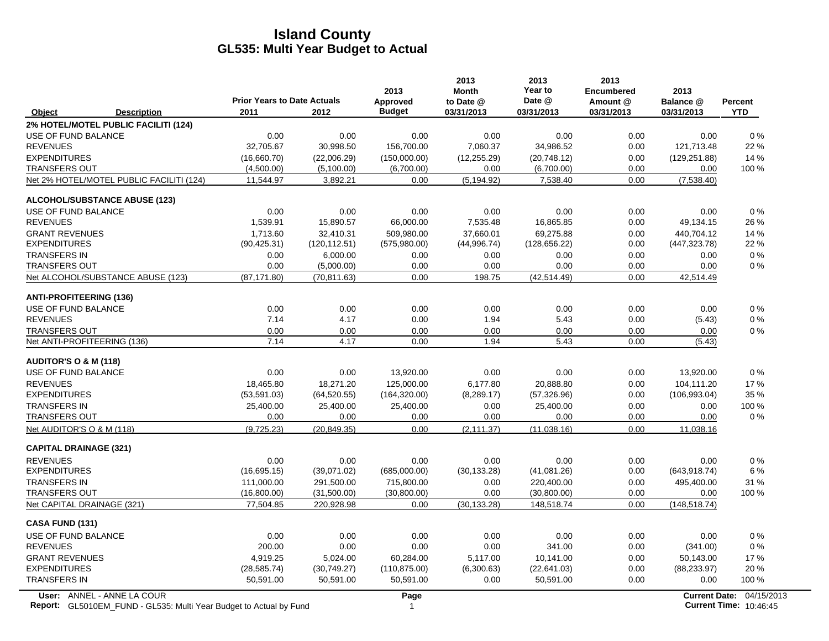|                                                                                                  | <b>Prior Years to Date Actuals</b> |               | 2013<br>Approved     | 2013<br><b>Month</b><br>to Date @ | 2013<br>Year to<br>Date @ | 2013<br><b>Encumbered</b><br>Amount @ | 2013<br>Balance @ | <b>Percent</b>                                            |
|--------------------------------------------------------------------------------------------------|------------------------------------|---------------|----------------------|-----------------------------------|---------------------------|---------------------------------------|-------------------|-----------------------------------------------------------|
| Object<br><b>Description</b>                                                                     | 2011                               | 2012          | <b>Budget</b>        | 03/31/2013                        | 03/31/2013                | 03/31/2013                            | 03/31/2013        | <b>YTD</b>                                                |
| 2% HOTEL/MOTEL PUBLIC FACILITI (124)                                                             |                                    |               |                      |                                   |                           |                                       |                   |                                                           |
| USE OF FUND BALANCE                                                                              | 0.00                               | 0.00          | 0.00                 | 0.00                              | 0.00                      | 0.00                                  | 0.00              | 0%                                                        |
| <b>REVENUES</b>                                                                                  | 32,705.67                          | 30,998.50     | 156,700.00           | 7,060.37                          | 34,986.52                 | 0.00                                  | 121,713.48        | 22 %                                                      |
| <b>EXPENDITURES</b>                                                                              | (16,660.70)                        | (22,006.29)   | (150,000.00)         | (12, 255.29)                      | (20, 748.12)              | 0.00                                  | (129.251.88)      | 14 %                                                      |
| <b>TRANSFERS OUT</b>                                                                             | (4,500.00)                         | (5,100.00)    | (6,700.00)           | 0.00                              | (6,700.00)                | 0.00                                  | 0.00              | 100 %                                                     |
| Net 2% HOTEL/MOTEL PUBLIC FACILITI (124)                                                         | 11,544.97                          | 3,892.21      | 0.00                 | (5, 194.92)                       | 7,538.40                  | 0.00                                  | (7,538.40)        |                                                           |
| <b>ALCOHOL/SUBSTANCE ABUSE (123)</b>                                                             |                                    |               |                      |                                   |                           |                                       |                   |                                                           |
| USE OF FUND BALANCE                                                                              | 0.00                               | 0.00          | 0.00                 | 0.00                              | 0.00                      | 0.00                                  | 0.00              | 0%                                                        |
| <b>REVENUES</b>                                                                                  | 1,539.91                           | 15,890.57     | 66,000.00            | 7,535.48                          | 16,865.85                 | 0.00                                  | 49,134.15         | 26 %                                                      |
| <b>GRANT REVENUES</b>                                                                            | 1,713.60                           | 32,410.31     | 509,980.00           | 37,660.01                         | 69,275.88                 | 0.00                                  | 440,704.12        | 14%                                                       |
| <b>EXPENDITURES</b>                                                                              | (90, 425.31)                       | (120, 112.51) | (575,980.00)         | (44,996.74)                       | (128, 656.22)             | 0.00                                  | (447, 323.78)     | 22 %                                                      |
| <b>TRANSFERS IN</b>                                                                              | 0.00                               | 6,000.00      | 0.00                 | 0.00                              | 0.00                      | 0.00                                  | 0.00              | $0\%$                                                     |
| <b>TRANSFERS OUT</b>                                                                             | 0.00                               | (5,000.00)    | 0.00                 | 0.00                              | 0.00                      | 0.00                                  | 0.00              | $0\%$                                                     |
| Net ALCOHOL/SUBSTANCE ABUSE (123)                                                                | (87, 171.80)                       | (70, 811.63)  | 0.00                 | 198.75                            | (42, 514.49)              | 0.00                                  | 42,514.49         |                                                           |
| <b>ANTI-PROFITEERING (136)</b>                                                                   |                                    |               |                      |                                   |                           |                                       |                   |                                                           |
| <b>USE OF FUND BALANCE</b>                                                                       | 0.00                               | 0.00          | 0.00                 | 0.00                              | 0.00                      | 0.00                                  | 0.00              | 0%                                                        |
| <b>REVENUES</b>                                                                                  | 7.14                               | 4.17          | 0.00                 | 1.94                              | 5.43                      | 0.00                                  | (5.43)            | $0\%$                                                     |
| <b>TRANSFERS OUT</b>                                                                             | 0.00                               | 0.00          | 0.00                 | 0.00                              | 0.00                      | 0.00                                  | 0.00              | $0\%$                                                     |
| Net ANTI-PROFITEERING (136)                                                                      | 7.14                               | 4.17          | 0.00                 | 1.94                              | 5.43                      | 0.00                                  | (5.43)            |                                                           |
| <b>AUDITOR'S O &amp; M (118)</b>                                                                 |                                    |               |                      |                                   |                           |                                       |                   |                                                           |
| USE OF FUND BALANCE                                                                              | 0.00                               | 0.00          | 13,920.00            | 0.00                              | 0.00                      | 0.00                                  | 13,920.00         | $0\%$                                                     |
| <b>REVENUES</b>                                                                                  | 18,465.80                          | 18,271.20     | 125,000.00           | 6,177.80                          | 20,888.80                 | 0.00                                  | 104,111.20        | 17%                                                       |
| <b>EXPENDITURES</b>                                                                              | (53, 591.03)                       | (64, 520.55)  | (164, 320.00)        | (8,289.17)                        | (57, 326.96)              | 0.00                                  | (106, 993.04)     | 35 %                                                      |
| <b>TRANSFERS IN</b>                                                                              | 25,400.00                          | 25,400.00     | 25,400.00            | 0.00                              | 25,400.00                 | 0.00                                  | 0.00              | 100 %                                                     |
| <b>TRANSFERS OUT</b>                                                                             | 0.00                               | 0.00          | 0.00                 | 0.00                              | 0.00                      | 0.00                                  | 0.00              | $0\%$                                                     |
| Net AUDITOR'S O & M (118)                                                                        | (9,725.23)                         | (20, 849.35)  | 0.00                 | (2, 111.37)                       | (11.038.16)               | 0.00                                  | 11,038.16         |                                                           |
| <b>CAPITAL DRAINAGE (321)</b>                                                                    |                                    |               |                      |                                   |                           |                                       |                   |                                                           |
| <b>REVENUES</b>                                                                                  | 0.00                               | 0.00          | 0.00                 | 0.00                              | 0.00                      | 0.00                                  | 0.00              | $0\%$                                                     |
| <b>EXPENDITURES</b>                                                                              | (16,695.15)                        | (39,071.02)   | (685,000.00)         | (30, 133.28)                      | (41,081.26)               | 0.00                                  | (643, 918.74)     | 6 %                                                       |
| <b>TRANSFERS IN</b>                                                                              | 111,000.00                         | 291,500.00    | 715,800.00           | 0.00                              | 220,400.00                | 0.00                                  | 495,400.00        | 31 %                                                      |
| <b>TRANSFERS OUT</b>                                                                             | (16,800.00)                        | (31,500.00)   | (30,800.00)          | 0.00                              | (30,800.00)               | 0.00                                  | 0.00              | 100 %                                                     |
| Net CAPITAL DRAINAGE (321)                                                                       | 77,504.85                          | 220,928.98    | 0.00                 | (30, 133.28)                      | 148,518.74                | 0.00                                  | (148, 518.74)     |                                                           |
| <b>CASA FUND (131)</b>                                                                           |                                    |               |                      |                                   |                           |                                       |                   |                                                           |
| USE OF FUND BALANCE                                                                              | 0.00                               | 0.00          | 0.00                 | 0.00                              | 0.00                      | 0.00                                  | 0.00              | $0\%$                                                     |
| <b>REVENUES</b>                                                                                  | 200.00                             | 0.00          | 0.00                 | 0.00                              | 341.00                    | 0.00                                  | (341.00)          | 0%                                                        |
| <b>GRANT REVENUES</b>                                                                            | 4,919.25                           | 5,024.00      | 60,284.00            | 5,117.00                          | 10,141.00                 | 0.00                                  | 50,143.00         | 17%                                                       |
| <b>EXPENDITURES</b>                                                                              | (28, 585.74)                       | (30,749.27)   | (110, 875.00)        | (6,300.63)                        | (22,641.03)               | 0.00                                  | (88, 233.97)      | 20%                                                       |
| <b>TRANSFERS IN</b>                                                                              | 50,591.00                          | 50,591.00     | 50,591.00            | 0.00                              | 50,591.00                 | 0.00                                  | 0.00              | 100 %                                                     |
| User: ANNEL - ANNE LA COUR<br>Report: GL5010EM_FUND - GL535: Multi Year Budget to Actual by Fund |                                    |               | Page<br>$\mathbf{1}$ |                                   |                           |                                       |                   | Current Date: 04/15/2013<br><b>Current Time: 10:46:45</b> |

**Report:** 1 **Current Time:** GL5010EM\_FUND - GL535: Multi Year Budget to Actual by Fund 10:46:45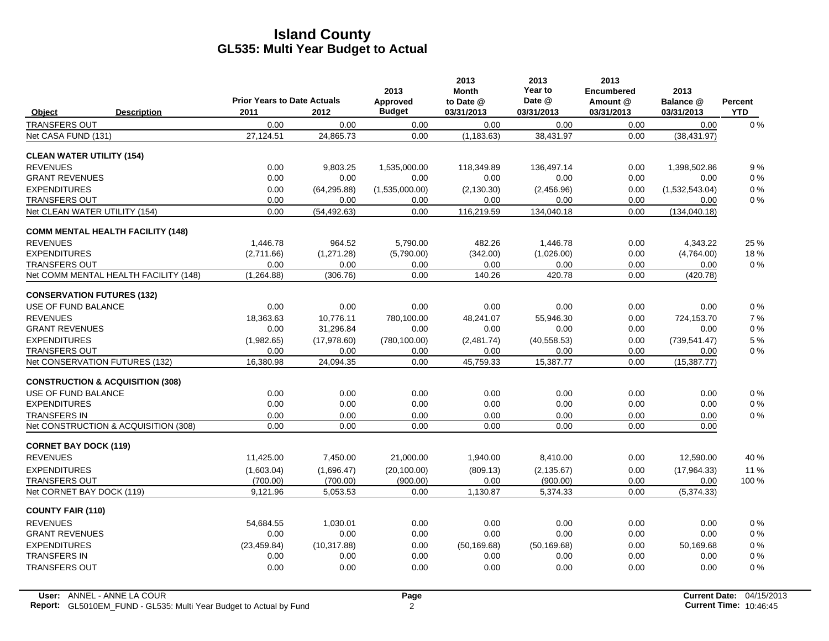|                                             |                                          | <b>Prior Years to Date Actuals</b> |              | 2013<br>Approved | 2013<br><b>Month</b><br>to Date @ | 2013<br>Year to<br>Date @ | 2013<br><b>Encumbered</b><br>Amount @ | 2013<br>Balance @ | <b>Percent</b> |
|---------------------------------------------|------------------------------------------|------------------------------------|--------------|------------------|-----------------------------------|---------------------------|---------------------------------------|-------------------|----------------|
| Object                                      | <b>Description</b>                       | 2011                               | 2012         | <b>Budget</b>    | 03/31/2013                        | 03/31/2013                | 03/31/2013                            | 03/31/2013        | <b>YTD</b>     |
| <b>TRANSFERS OUT</b>                        |                                          | 0.00                               | 0.00         | 0.00             | 0.00                              | 0.00                      | 0.00                                  | 0.00              | 0%             |
| Net CASA FUND (131)                         |                                          | 27,124.51                          | 24,865.73    | 0.00             | (1, 183.63)                       | 38,431.97                 | 0.00                                  | (38, 431.97)      |                |
| <b>CLEAN WATER UTILITY (154)</b>            |                                          |                                    |              |                  |                                   |                           |                                       |                   |                |
| <b>REVENUES</b>                             |                                          | 0.00                               | 9,803.25     | 1,535,000.00     | 118,349.89                        | 136,497.14                | 0.00                                  | 1,398,502.86      | 9%             |
| <b>GRANT REVENUES</b>                       |                                          | 0.00                               | 0.00         | 0.00             | 0.00                              | 0.00                      | 0.00                                  | 0.00              | $0\%$          |
| <b>EXPENDITURES</b>                         |                                          | 0.00                               | (64, 295.88) | (1,535,000.00)   | (2, 130.30)                       | (2,456.96)                | 0.00                                  | (1,532,543.04)    | $0\%$          |
| <b>TRANSFERS OUT</b>                        |                                          | 0.00                               | 0.00         | 0.00             | 0.00                              | 0.00                      | 0.00                                  | 0.00              | $0\%$          |
| Net CLEAN WATER UTILITY (154)               |                                          | 0.00                               | (54, 492.63) | 0.00             | 116,219.59                        | 134,040.18                | 0.00                                  | (134, 040.18)     |                |
|                                             | <b>COMM MENTAL HEALTH FACILITY (148)</b> |                                    |              |                  |                                   |                           |                                       |                   |                |
| <b>REVENUES</b>                             |                                          | 1.446.78                           | 964.52       | 5,790.00         | 482.26                            | 1.446.78                  | 0.00                                  | 4.343.22          | 25 %           |
| <b>EXPENDITURES</b>                         |                                          | (2,711.66)                         | (1,271.28)   | (5,790.00)       | (342.00)                          | (1,026.00)                | 0.00                                  | (4,764.00)        | 18%            |
| <b>TRANSFERS OUT</b>                        |                                          | 0.00                               | 0.00         | 0.00             | 0.00                              | 0.00                      | 0.00                                  | 0.00              | $0\%$          |
|                                             | Net COMM MENTAL HEALTH FACILITY (148)    | (1,264.88)                         | (306.76)     | 0.00             | 140.26                            | 420.78                    | 0.00                                  | (420.78)          |                |
| <b>CONSERVATION FUTURES (132)</b>           |                                          |                                    |              |                  |                                   |                           |                                       |                   |                |
| USE OF FUND BALANCE                         |                                          | 0.00                               | 0.00         | 0.00             | 0.00                              | 0.00                      | 0.00                                  | 0.00              | 0%             |
| <b>REVENUES</b>                             |                                          | 18,363.63                          | 10,776.11    | 780,100.00       | 48,241.07                         | 55,946.30                 | 0.00                                  | 724,153.70        | 7 %            |
| <b>GRANT REVENUES</b>                       |                                          | 0.00                               | 31,296.84    | 0.00             | 0.00                              | 0.00                      | 0.00                                  | 0.00              | $0\%$          |
| <b>EXPENDITURES</b>                         |                                          | (1,982.65)                         | (17, 978.60) | (780, 100.00)    | (2,481.74)                        | (40, 558.53)              | 0.00                                  | (739.541.47)      | 5 %            |
| <b>TRANSFERS OUT</b>                        |                                          | 0.00                               | 0.00         | 0.00             | 0.00                              | 0.00                      | 0.00                                  | 0.00              | $0\%$          |
| Net CONSERVATION FUTURES (132)              |                                          | 16,380.98                          | 24,094.35    | 0.00             | 45,759.33                         | 15,387.77                 | 0.00                                  | (15, 387.77)      |                |
| <b>CONSTRUCTION &amp; ACQUISITION (308)</b> |                                          |                                    |              |                  |                                   |                           |                                       |                   |                |
| USE OF FUND BALANCE                         |                                          | 0.00                               | 0.00         | 0.00             | 0.00                              | 0.00                      | 0.00                                  | 0.00              | $0\%$          |
| <b>EXPENDITURES</b>                         |                                          | 0.00                               | 0.00         | 0.00             | 0.00                              | 0.00                      | 0.00                                  | 0.00              | $0\%$          |
| <b>TRANSFERS IN</b>                         |                                          | 0.00                               | 0.00         | 0.00             | 0.00                              | 0.00                      | 0.00                                  | 0.00              | $0\%$          |
|                                             | Net CONSTRUCTION & ACQUISITION (308)     | 0.00                               | 0.00         | 0.00             | 0.00                              | 0.00                      | 0.00                                  | 0.00              |                |
| <b>CORNET BAY DOCK (119)</b>                |                                          |                                    |              |                  |                                   |                           |                                       |                   |                |
| <b>REVENUES</b>                             |                                          | 11,425.00                          | 7,450.00     | 21,000.00        | 1,940.00                          | 8,410.00                  | 0.00                                  | 12,590.00         | 40 %           |
| <b>EXPENDITURES</b>                         |                                          | (1,603.04)                         | (1,696.47)   | (20, 100.00)     | (809.13)                          | (2, 135.67)               | 0.00                                  | (17, 964.33)      | 11 %           |
| <b>TRANSFERS OUT</b>                        |                                          | (700.00)                           | (700.00)     | (900.00)         | 0.00                              | (900.00)                  | 0.00                                  | 0.00              | 100 %          |
| Net CORNET BAY DOCK (119)                   |                                          | 9,121.96                           | 5,053.53     | 0.00             | 1,130.87                          | 5,374.33                  | 0.00                                  | (5,374.33)        |                |
| <b>COUNTY FAIR (110)</b>                    |                                          |                                    |              |                  |                                   |                           |                                       |                   |                |
| <b>REVENUES</b>                             |                                          | 54.684.55                          | 1.030.01     | 0.00             | 0.00                              | 0.00                      | 0.00                                  | 0.00              | $0\%$          |
| <b>GRANT REVENUES</b>                       |                                          | 0.00                               | 0.00         | 0.00             | 0.00                              | 0.00                      | 0.00                                  | 0.00              | 0%             |
| <b>EXPENDITURES</b>                         |                                          | (23, 459.84)                       | (10, 317.88) | 0.00             | (50, 169.68)                      | (50, 169.68)              | 0.00                                  | 50.169.68         | 0%             |
| <b>TRANSFERS IN</b>                         |                                          | 0.00                               | 0.00         | 0.00             | 0.00                              | 0.00                      | 0.00                                  | 0.00              | $0\%$          |
| <b>TRANSFERS OUT</b>                        |                                          | 0.00                               | 0.00         | 0.00             | 0.00                              | 0.00                      | 0.00                                  | 0.00              | 0%             |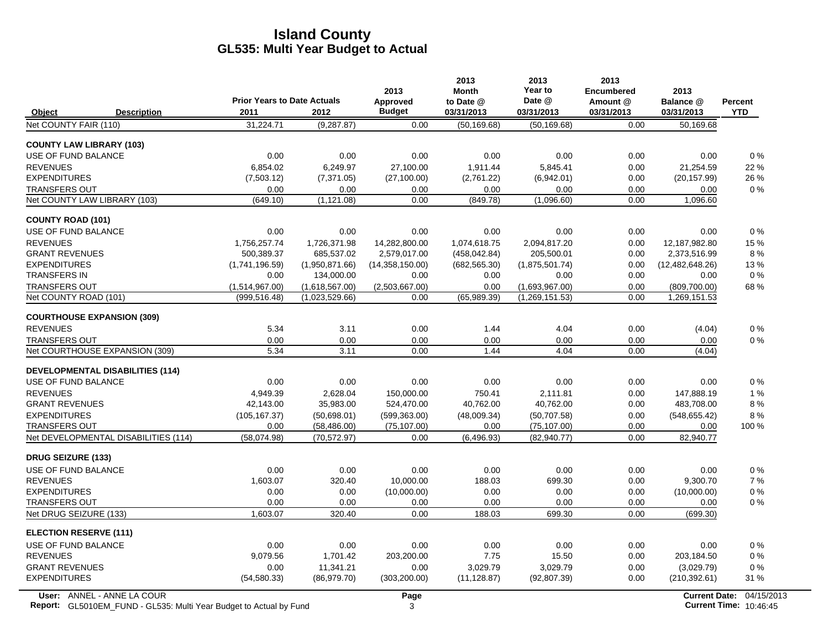|                                               |                                    |                                  | 2013                   | 2013<br><b>Month</b> | 2013<br>Year to                  | 2013<br><b>Encumbered</b> | 2013                         |            |
|-----------------------------------------------|------------------------------------|----------------------------------|------------------------|----------------------|----------------------------------|---------------------------|------------------------------|------------|
|                                               | <b>Prior Years to Date Actuals</b> |                                  | Approved               | to Date @            | Date @                           | Amount @                  | Balance @                    | Percent    |
| Object<br><b>Description</b>                  | 2011                               | 2012                             | <b>Budget</b>          | 03/31/2013           | 03/31/2013                       | 03/31/2013                | 03/31/2013                   | <b>YTD</b> |
| Net COUNTY FAIR (110)                         | 31,224.71                          | (9, 287.87)                      | 0.00                   | (50, 169.68)         | (50, 169.68)                     | 0.00                      | 50,169.68                    |            |
| <b>COUNTY LAW LIBRARY (103)</b>               |                                    |                                  |                        |                      |                                  |                           |                              |            |
| USE OF FUND BALANCE                           | 0.00                               | 0.00                             | 0.00                   | 0.00                 | 0.00                             | 0.00                      | 0.00                         | 0%         |
| <b>REVENUES</b>                               | 6,854.02                           | 6,249.97                         | 27,100.00              | 1,911.44             | 5,845.41                         | 0.00                      | 21,254.59                    | 22 %       |
| <b>EXPENDITURES</b>                           | (7,503.12)                         | (7, 371.05)                      | (27, 100.00)           | (2,761.22)           | (6,942.01)                       | 0.00                      | (20, 157.99)                 | 26 %       |
| <b>TRANSFERS OUT</b>                          | 0.00                               | 0.00                             | 0.00                   | 0.00                 | 0.00                             | 0.00                      | 0.00                         | 0%         |
| Net COUNTY LAW LIBRARY (103)                  | (649.10)                           | (1, 121.08)                      | 0.00                   | (849.78)             | (1,096.60)                       | 0.00                      | 1,096.60                     |            |
| <b>COUNTY ROAD (101)</b>                      |                                    |                                  |                        |                      |                                  |                           |                              |            |
| USE OF FUND BALANCE                           | 0.00                               | 0.00                             | 0.00                   | 0.00                 | 0.00                             | 0.00                      | 0.00                         | 0%         |
| <b>REVENUES</b>                               | 1.756.257.74                       | 1,726,371.98                     | 14.282.800.00          | 1.074.618.75         | 2.094.817.20                     | 0.00                      | 12.187.982.80                | 15 %       |
| <b>GRANT REVENUES</b>                         | 500,389.37                         | 685,537.02                       | 2,579,017.00           | (458, 042.84)        | 205,500.01                       | 0.00                      | 2,373,516.99                 | 8%         |
| <b>EXPENDITURES</b>                           | (1,741,196.59)                     | (1,950,871.66)                   | (14,358,150.00)        | (682, 565.30)        | (1,875,501.74)                   | 0.00                      | (12, 482, 648.26)            | 13%        |
| <b>TRANSFERS IN</b>                           | 0.00                               | 134,000.00                       | 0.00                   | 0.00                 | 0.00                             | 0.00                      | 0.00                         | $0\%$      |
| <b>TRANSFERS OUT</b><br>Net COUNTY ROAD (101) | (1,514,967.00)<br>(999, 516.48)    | (1,618,567.00)<br>(1,023,529.66) | (2.503.667.00)<br>0.00 | 0.00<br>(65,989.39)  | (1,693,967.00)<br>(1,269,151.53) | 0.00<br>0.00              | (809,700.00)<br>1,269,151.53 | 68%        |
|                                               |                                    |                                  |                        |                      |                                  |                           |                              |            |
| <b>COURTHOUSE EXPANSION (309)</b>             |                                    |                                  |                        |                      |                                  |                           |                              |            |
| <b>REVENUES</b>                               | 5.34                               | 3.11                             | 0.00                   | 1.44                 | 4.04                             | 0.00                      | (4.04)                       | 0%         |
| <b>TRANSFERS OUT</b>                          | 0.00                               | 0.00                             | 0.00                   | 0.00                 | 0.00                             | 0.00                      | 0.00                         | $0\%$      |
| Net COURTHOUSE EXPANSION (309)                | 5.34                               | 3.11                             | 0.00                   | 1.44                 | 4.04                             | 0.00                      | (4.04)                       |            |
| <b>DEVELOPMENTAL DISABILITIES (114)</b>       |                                    |                                  |                        |                      |                                  |                           |                              |            |
| USE OF FUND BALANCE                           | 0.00                               | 0.00                             | 0.00                   | 0.00                 | 0.00                             | 0.00                      | 0.00                         | $0\%$      |
| <b>REVENUES</b>                               | 4.949.39                           | 2.628.04                         | 150.000.00             | 750.41               | 2.111.81                         | 0.00                      | 147.888.19                   | 1%         |
| <b>GRANT REVENUES</b>                         | 42.143.00                          | 35.983.00                        | 524,470.00             | 40.762.00            | 40,762.00                        | 0.00                      | 483,708.00                   | 8%         |
| <b>EXPENDITURES</b>                           | (105, 167.37)                      | (50,698.01)                      | (599, 363.00)          | (48,009.34)          | (50, 707.58)                     | 0.00                      | (548, 655.42)                | 8%         |
| <b>TRANSFERS OUT</b>                          | 0.00                               | (58, 486.00)                     | (75, 107.00)           | 0.00                 | (75, 107.00)                     | 0.00                      | 0.00                         | 100 %      |
| Net DEVELOPMENTAL DISABILITIES (114)          | (58.074.98)                        | (70.572.97)                      | 0.00                   | (6, 496.93)          | (82,940.77)                      | 0.00                      | 82,940.77                    |            |
| <b>DRUG SEIZURE (133)</b>                     |                                    |                                  |                        |                      |                                  |                           |                              |            |
| USE OF FUND BALANCE                           | 0.00                               | 0.00                             | 0.00                   | 0.00                 | 0.00                             | 0.00                      | 0.00                         | 0%         |
| <b>REVENUES</b>                               | 1.603.07                           | 320.40                           | 10.000.00              | 188.03               | 699.30                           | 0.00                      | 9,300.70                     | 7%         |
| <b>EXPENDITURES</b>                           | 0.00                               | 0.00                             | (10,000.00)            | 0.00                 | 0.00                             | 0.00                      | (10,000.00)                  | 0%         |
| <b>TRANSFERS OUT</b>                          | 0.00                               | 0.00                             | 0.00                   | 0.00                 | 0.00                             | 0.00                      | 0.00                         | $0\%$      |
| Net DRUG SEIZURE (133)                        | 1,603.07                           | 320.40                           | 0.00                   | 188.03               | 699.30                           | 0.00                      | (699.30)                     |            |
| <b>ELECTION RESERVE (111)</b>                 |                                    |                                  |                        |                      |                                  |                           |                              |            |
| USE OF FUND BALANCE                           | 0.00                               | 0.00                             | 0.00                   | 0.00                 | 0.00                             | 0.00                      | 0.00                         | 0%         |
| <b>REVENUES</b>                               | 9.079.56                           | 1.701.42                         | 203,200.00             | 7.75                 | 15.50                            | 0.00                      | 203,184.50                   | $0\%$      |
| <b>GRANT REVENUES</b>                         | 0.00                               | 11,341.21                        | 0.00                   | 3,029.79             | 3,029.79                         | 0.00                      | (3,029.79)                   | $0\%$      |
| <b>EXPENDITURES</b>                           | (54, 580.33)                       | (86,979.70)                      | (303, 200.00)          | (11, 128.87)         | (92, 807.39)                     | 0.00                      | (210, 392.61)                | 31 %       |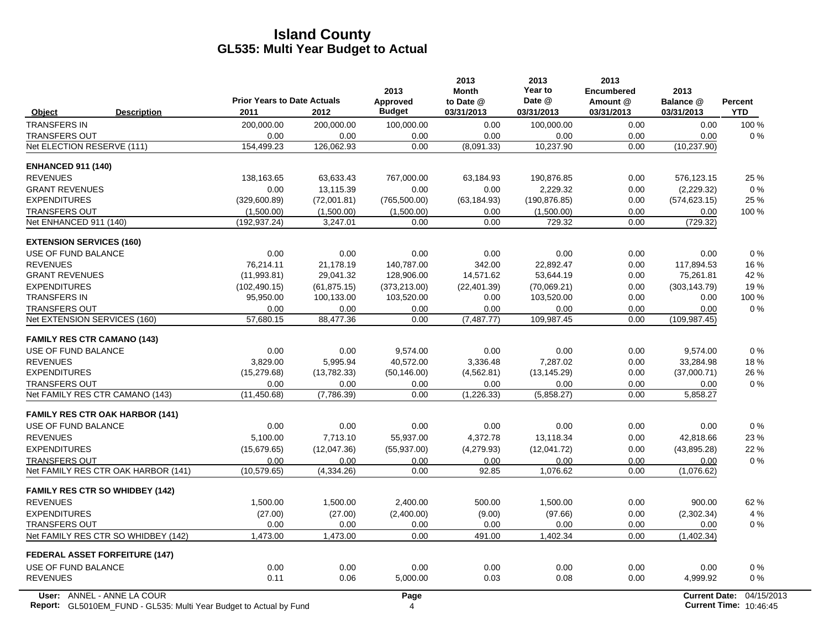|                                       |                                                                           | <b>Prior Years to Date Actuals</b> |              | 2013<br>Approved | 2013<br><b>Month</b><br>to Date @ | 2013<br>Year to<br>Date @ | 2013<br><b>Encumbered</b><br>Amount @ | 2013<br>Balance @    | <b>Percent</b>                |
|---------------------------------------|---------------------------------------------------------------------------|------------------------------------|--------------|------------------|-----------------------------------|---------------------------|---------------------------------------|----------------------|-------------------------------|
| <b>Object</b>                         | <b>Description</b>                                                        | 2011                               | 2012         | <b>Budget</b>    | 03/31/2013                        | 03/31/2013                | 03/31/2013                            | 03/31/2013           | <b>YTD</b>                    |
| <b>TRANSFERS IN</b>                   |                                                                           | 200,000.00                         | 200,000.00   | 100,000.00       | 0.00                              | 100,000.00                | 0.00                                  | 0.00                 | 100 %                         |
| <b>TRANSFERS OUT</b>                  |                                                                           | 0.00                               | 0.00         | 0.00             | 0.00                              | 0.00                      | 0.00                                  | 0.00                 | 0%                            |
| Net ELECTION RESERVE (111)            |                                                                           | 154,499.23                         | 126,062.93   | 0.00             | (8,091.33)                        | 10,237.90                 | 0.00                                  | (10, 237.90)         |                               |
| <b>ENHANCED 911 (140)</b>             |                                                                           |                                    |              |                  |                                   |                           |                                       |                      |                               |
| <b>REVENUES</b>                       |                                                                           | 138,163.65                         | 63,633.43    | 767,000.00       | 63,184.93                         | 190,876.85                | 0.00                                  | 576,123.15           | 25 %                          |
| <b>GRANT REVENUES</b>                 |                                                                           | 0.00                               | 13,115.39    | 0.00             | 0.00                              | 2,229.32                  | 0.00                                  | (2,229.32)           | $0\%$                         |
| <b>EXPENDITURES</b>                   |                                                                           | (329,600.89)                       | (72,001.81)  | (765, 500.00)    | (63, 184.93)                      | (190, 876.85)             | 0.00                                  | (574, 623.15)        | 25 %                          |
| <b>TRANSFERS OUT</b>                  |                                                                           | (1,500.00)                         | (1,500.00)   | (1,500.00)       | 0.00                              | (1,500.00)                | 0.00                                  | 0.00                 | 100 %                         |
| Net ENHANCED 911 (140)                |                                                                           | (192, 937.24)                      | 3.247.01     | 0.00             | 0.00                              | 729.32                    | 0.00                                  | (729.32)             |                               |
| <b>EXTENSION SERVICES (160)</b>       |                                                                           |                                    |              |                  |                                   |                           |                                       |                      |                               |
| USE OF FUND BALANCE                   |                                                                           | 0.00                               | 0.00         | 0.00             | 0.00                              | 0.00                      | 0.00                                  | 0.00                 | $0\%$                         |
| <b>REVENUES</b>                       |                                                                           | 76.214.11                          | 21.178.19    | 140.787.00       | 342.00                            | 22,892.47                 | 0.00                                  | 117,894.53           | 16%                           |
| <b>GRANT REVENUES</b>                 |                                                                           | (11,993.81)                        | 29,041.32    | 128,906.00       | 14,571.62                         | 53,644.19                 | 0.00                                  | 75,261.81            | 42 %                          |
| <b>EXPENDITURES</b>                   |                                                                           | (102, 490.15)                      | (61, 875.15) | (373, 213.00)    | (22, 401.39)                      | (70,069.21)               | 0.00                                  | (303, 143.79)        | 19%                           |
| <b>TRANSFERS IN</b>                   |                                                                           | 95,950.00                          | 100,133.00   | 103,520.00       | 0.00                              | 103,520.00                | 0.00                                  | 0.00                 | 100 %                         |
| <b>TRANSFERS OUT</b>                  |                                                                           | 0.00                               | 0.00         | 0.00             | 0.00                              | 0.00                      | 0.00                                  | 0.00                 | 0%                            |
| Net EXTENSION SERVICES (160)          |                                                                           | 57,680.15                          | 88,477.36    | 0.00             | (7,487.77)                        | 109,987.45                | 0.00                                  | (109, 987.45)        |                               |
| <b>FAMILY RES CTR CAMANO (143)</b>    |                                                                           |                                    |              |                  |                                   |                           |                                       |                      |                               |
| USE OF FUND BALANCE                   |                                                                           | 0.00                               | 0.00         | 9,574.00         | 0.00                              | 0.00                      | 0.00                                  | 9,574.00             | 0%                            |
| <b>REVENUES</b>                       |                                                                           | 3,829.00                           | 5,995.94     | 40,572.00        | 3,336.48                          | 7,287.02                  | 0.00                                  | 33,284.98            | 18%                           |
| <b>EXPENDITURES</b>                   |                                                                           | (15, 279.68)                       | (13,782.33)  | (50, 146.00)     | (4, 562.81)                       | (13, 145.29)              | 0.00                                  | (37,000.71)          | 26 %                          |
| <b>TRANSFERS OUT</b>                  |                                                                           | 0.00                               | 0.00         | 0.00             | 0.00                              | 0.00                      | 0.00                                  | 0.00                 | 0%                            |
| Net FAMILY RES CTR CAMANO (143)       |                                                                           | (11, 450.68)                       | (7,786.39)   | 0.00             | (1,226.33)                        | (5,858.27)                | 0.00                                  | 5,858.27             |                               |
|                                       | <b>FAMILY RES CTR OAK HARBOR (141)</b>                                    |                                    |              |                  |                                   |                           |                                       |                      |                               |
| USE OF FUND BALANCE                   |                                                                           | 0.00                               | 0.00         | 0.00             | 0.00                              | 0.00                      | 0.00                                  | 0.00                 | $0\%$                         |
| <b>REVENUES</b>                       |                                                                           | 5.100.00                           | 7.713.10     | 55.937.00        | 4.372.78                          | 13.118.34                 | 0.00                                  | 42.818.66            | 23 %                          |
| <b>EXPENDITURES</b>                   |                                                                           | (15,679.65)                        | (12,047.36)  | (55, 937.00)     | (4,279.93)                        | (12,041.72)               | 0.00                                  | (43,895.28)          | 22 %                          |
| <b>TRANSFERS OUT</b>                  |                                                                           | 0.00                               | 0.00         | 0.00             | 0.00                              | 0.00                      | 0.00                                  | 0.00                 | $0\%$                         |
|                                       | Net FAMILY RES CTR OAK HARBOR (141)                                       | (10, 579.65)                       | (4,334.26)   | 0.00             | 92.85                             | 1.076.62                  | 0.00                                  | (1,076.62)           |                               |
|                                       | <b>FAMILY RES CTR SO WHIDBEY (142)</b>                                    |                                    |              |                  |                                   |                           |                                       |                      |                               |
| <b>REVENUES</b>                       |                                                                           | 1,500.00                           | 1,500.00     | 2,400.00         | 500.00                            | 1,500.00                  | 0.00                                  | 900.00               | 62%                           |
| <b>EXPENDITURES</b>                   |                                                                           | (27.00)                            | (27.00)      | (2,400.00)       | (9.00)                            | (97.66)                   | 0.00                                  | (2,302.34)           | 4 %                           |
| <b>TRANSFERS OUT</b>                  |                                                                           | 0.00                               | 0.00         | 0.00             | 0.00                              | 0.00                      | 0.00                                  | 0.00                 | $0\%$                         |
|                                       | Net FAMILY RES CTR SO WHIDBEY (142)                                       | 1,473.00                           | 1,473.00     | 0.00             | 491.00                            | 1,402.34                  | 0.00                                  | (1,402.34)           |                               |
| <b>FEDERAL ASSET FORFEITURE (147)</b> |                                                                           |                                    |              |                  |                                   |                           |                                       |                      |                               |
| USE OF FUND BALANCE                   |                                                                           | 0.00                               | 0.00         | 0.00             | 0.00                              | 0.00                      | 0.00                                  | 0.00                 | 0%                            |
| <b>REVENUES</b>                       |                                                                           | 0.11                               | 0.06         | 5,000.00         | 0.03                              | 0.08                      | 0.00                                  | 4,999.92             | 0%                            |
|                                       | User: ANNEL - ANNE LA COUR                                                |                                    |              | Page             |                                   |                           |                                       | <b>Current Date:</b> | 04/15/2013                    |
|                                       | <b>Report:</b> GL5010EM_FUND - GL535: Multi Year Budget to Actual by Fund |                                    |              | 4                |                                   |                           |                                       |                      | <b>Current Time: 10:46:45</b> |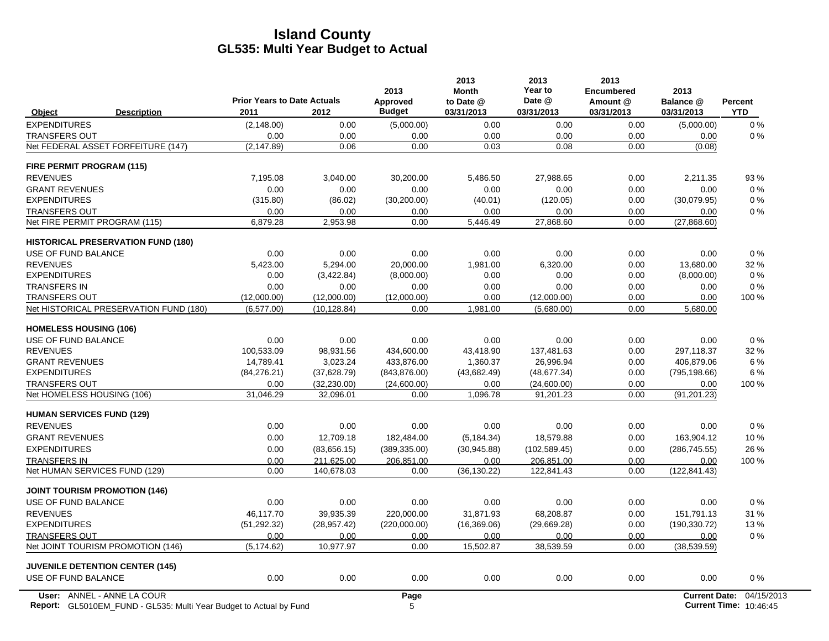|                                           | <b>Prior Years to Date Actuals</b> |              | 2013<br>Approved | 2013<br><b>Month</b><br>to Date @ | 2013<br>Year to<br>Date @ | 2013<br><b>Encumbered</b><br>Amount @ | 2013<br>Balance @    | Percent    |
|-------------------------------------------|------------------------------------|--------------|------------------|-----------------------------------|---------------------------|---------------------------------------|----------------------|------------|
| <b>Description</b><br>Object              | 2011                               | 2012         | <b>Budget</b>    | 03/31/2013                        | 03/31/2013                | 03/31/2013                            | 03/31/2013           | <b>YTD</b> |
| <b>EXPENDITURES</b>                       | (2, 148.00)                        | 0.00         | (5,000.00)       | 0.00                              | 0.00                      | 0.00                                  | (5,000.00)           | 0%         |
| <b>TRANSFERS OUT</b>                      | 0.00                               | 0.00         | 0.00             | 0.00                              | 0.00                      | 0.00                                  | 0.00                 | 0%         |
| Net FEDERAL ASSET FORFEITURE (147)        | (2, 147.89)                        | 0.06         | 0.00             | 0.03                              | 0.08                      | 0.00                                  | (0.08)               |            |
| FIRE PERMIT PROGRAM (115)                 |                                    |              |                  |                                   |                           |                                       |                      |            |
| <b>REVENUES</b>                           | 7,195.08                           | 3,040.00     | 30,200.00        | 5,486.50                          | 27,988.65                 | 0.00                                  | 2,211.35             | 93 %       |
| <b>GRANT REVENUES</b>                     | 0.00                               | 0.00         | 0.00             | 0.00                              | 0.00                      | 0.00                                  | 0.00                 | $0\%$      |
| <b>EXPENDITURES</b>                       | (315.80)                           | (86.02)      | (30, 200.00)     | (40.01)                           | (120.05)                  | 0.00                                  | (30,079.95)          | 0%         |
| <b>TRANSFERS OUT</b>                      | 0.00                               | 0.00         | 0.00             | 0.00                              | 0.00                      | 0.00                                  | 0.00                 | 0%         |
| Net FIRE PERMIT PROGRAM (115)             | 6,879.28                           | 2,953.98     | 0.00             | 5,446.49                          | 27,868.60                 | 0.00                                  | (27,868.60)          |            |
| <b>HISTORICAL PRESERVATION FUND (180)</b> |                                    |              |                  |                                   |                           |                                       |                      |            |
| USE OF FUND BALANCE                       | 0.00                               | 0.00         | 0.00             | 0.00                              | 0.00                      | 0.00                                  | 0.00                 | 0%         |
| <b>REVENUES</b>                           | 5,423.00                           | 5,294.00     | 20,000.00        | 1,981.00                          | 6,320.00                  | 0.00                                  | 13,680.00            | 32 %       |
| <b>EXPENDITURES</b>                       | 0.00                               | (3,422.84)   | (8,000.00)       | 0.00                              | 0.00                      | 0.00                                  | (8,000.00)           | 0%         |
| <b>TRANSFERS IN</b>                       | 0.00                               | 0.00         | 0.00             | 0.00                              | 0.00                      | 0.00                                  | 0.00                 | 0%         |
| <b>TRANSFERS OUT</b>                      | (12,000.00)                        | (12,000.00)  | (12,000.00)      | 0.00                              | (12,000.00)               | 0.00                                  | 0.00                 | 100 %      |
| Net HISTORICAL PRESERVATION FUND (180)    | (6,577.00)                         | (10, 128.84) | 0.00             | 1,981.00                          | (5,680.00)                | 0.00                                  | 5,680.00             |            |
| <b>HOMELESS HOUSING (106)</b>             |                                    |              |                  |                                   |                           |                                       |                      |            |
| USE OF FUND BALANCE                       | 0.00                               | 0.00         | 0.00             | 0.00                              | 0.00                      | 0.00                                  | 0.00                 | 0%         |
| <b>REVENUES</b>                           | 100,533.09                         | 98,931.56    | 434,600.00       | 43,418.90                         | 137,481.63                | 0.00                                  | 297,118.37           | 32 %       |
| <b>GRANT REVENUES</b>                     | 14,789.41                          | 3,023.24     | 433,876.00       | 1,360.37                          | 26,996.94                 | 0.00                                  | 406,879.06           | 6 %        |
| <b>EXPENDITURES</b>                       | (84, 276.21)                       | (37,628.79)  | (843, 876.00)    | (43,682.49)                       | (48, 677.34)              | 0.00                                  | (795, 198.66)        | 6 %        |
| <b>TRANSFERS OUT</b>                      | 0.00                               | (32, 230.00) | (24,600.00)      | 0.00                              | (24,600.00)               | 0.00                                  | 0.00                 | 100 %      |
| Net HOMELESS HOUSING (106)                | 31,046.29                          | 32,096.01    | 0.00             | 1,096.78                          | 91,201.23                 | 0.00                                  | (91, 201.23)         |            |
| <b>HUMAN SERVICES FUND (129)</b>          |                                    |              |                  |                                   |                           |                                       |                      |            |
| <b>REVENUES</b>                           | 0.00                               | 0.00         | 0.00             | 0.00                              | 0.00                      | 0.00                                  | 0.00                 | 0%         |
| <b>GRANT REVENUES</b>                     | 0.00                               | 12,709.18    | 182.484.00       | (5, 184.34)                       | 18.579.88                 | 0.00                                  | 163,904.12           | 10%        |
| <b>EXPENDITURES</b>                       | 0.00                               | (83,656.15)  | (389, 335.00)    | (30, 945.88)                      | (102, 589.45)             | 0.00                                  | (286, 745.55)        | 26 %       |
| <b>TRANSFERS IN</b>                       | 0.00                               | 211,625.00   | 206,851.00       | 0.00                              | 206,851.00                | 0.00                                  | 0.00                 | 100 %      |
| Net HUMAN SERVICES FUND (129)             | 0.00                               | 140.678.03   | 0.00             | (36, 130.22)                      | 122,841.43                | 0.00                                  | (122, 841.43)        |            |
| <b>JOINT TOURISM PROMOTION (146)</b>      |                                    |              |                  |                                   |                           |                                       |                      |            |
| USE OF FUND BALANCE                       | 0.00                               | 0.00         | 0.00             | 0.00                              | 0.00                      | 0.00                                  | 0.00                 | 0%         |
| <b>REVENUES</b>                           | 46.117.70                          | 39.935.39    | 220.000.00       | 31.871.93                         | 68.208.87                 | 0.00                                  | 151.791.13           | 31 %       |
| <b>EXPENDITURES</b>                       | (51, 292.32)                       | (28, 957.42) | (220,000.00)     | (16, 369.06)                      | (29,669.28)               | 0.00                                  | (190, 330.72)        | 13%        |
| <b>TRANSFERS OUT</b>                      | 0.00                               | 0.00         | 0.00             | 0.00                              | 0.00                      | 0.00                                  | 0.00                 | 0%         |
| Net JOINT TOURISM PROMOTION (146)         | (5, 174.62)                        | 10,977.97    | 0.00             | 15,502.87                         | 38,539.59                 | 0.00                                  | (38, 539.59)         |            |
| <b>JUVENILE DETENTION CENTER (145)</b>    |                                    |              |                  |                                   |                           |                                       |                      |            |
| USE OF FUND BALANCE                       | 0.00                               | 0.00         | 0.00             | 0.00                              | 0.00                      | 0.00                                  | 0.00                 | 0%         |
| User: ANNEL - ANNE LA COUR                |                                    |              | Page             |                                   |                           |                                       | <b>Current Date:</b> | 04/15/2013 |

Report: GL5010EM\_FUND - GL535: Multi Year Budget to Actual by Fund **Current Time: 5 Actual 2012 12: Actual 201** GL5010EM\_FUND - GL535: Multi Year Budget to Actual by Fund 10:46:45 (2008) 10:46:45 (2009) 10:46:45 (2009) 10:46:45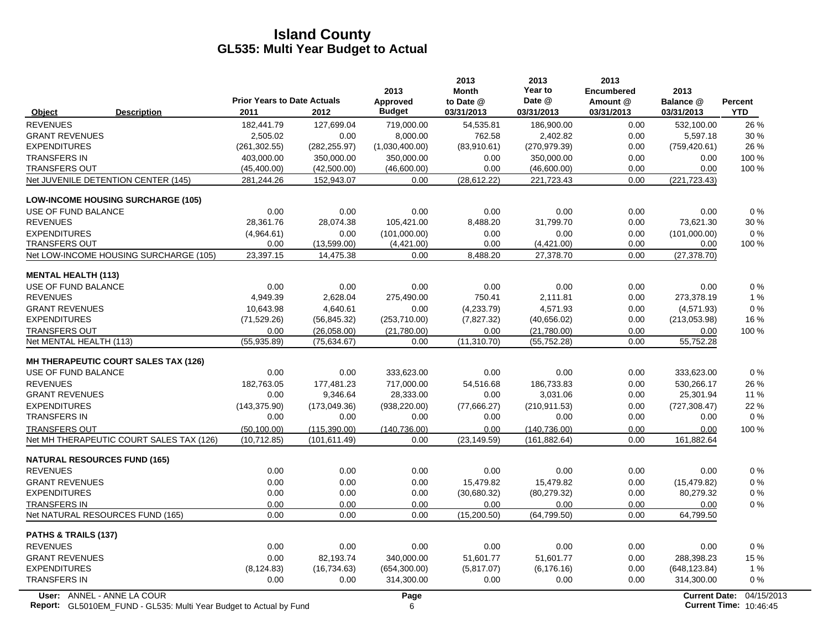|                                                                           | <b>Prior Years to Date Actuals</b> |               | 2013<br>Approved | 2013<br><b>Month</b><br>to Date @ | 2013<br>Year to<br>Date @ | 2013<br><b>Encumbered</b><br>Amount @ | 2013<br>Balance @    | <b>Percent</b>                |
|---------------------------------------------------------------------------|------------------------------------|---------------|------------------|-----------------------------------|---------------------------|---------------------------------------|----------------------|-------------------------------|
| <b>Description</b><br>Object                                              | 2011                               | 2012          | <b>Budget</b>    | 03/31/2013                        | 03/31/2013                | 03/31/2013                            | 03/31/2013           | <b>YTD</b>                    |
| <b>REVENUES</b>                                                           | 182,441.79                         | 127,699.04    | 719,000.00       | 54,535.81                         | 186,900.00                | 0.00                                  | 532,100.00           | 26 %                          |
| <b>GRANT REVENUES</b>                                                     | 2,505.02                           | 0.00          | 8,000.00         | 762.58                            | 2,402.82                  | 0.00                                  | 5,597.18             | 30%                           |
| <b>EXPENDITURES</b>                                                       | (261, 302.55)                      | (282, 255.97) | (1,030,400.00)   | (83,910.61)                       | (270, 979.39)             | 0.00                                  | (759, 420.61)        | 26 %                          |
| <b>TRANSFERS IN</b>                                                       | 403,000.00                         | 350.000.00    | 350.000.00       | 0.00                              | 350,000.00                | 0.00                                  | 0.00                 | 100 %                         |
| <b>TRANSFERS OUT</b>                                                      | (45, 400.00)                       | (42,500.00)   | (46,600.00)      | 0.00                              | (46,600.00)               | 0.00                                  | 0.00                 | 100 %                         |
| Net JUVENILE DETENTION CENTER (145)                                       | 281,244.26                         | 152,943.07    | 0.00             | (28, 612.22)                      | 221,723.43                | 0.00                                  | (221, 723.43)        |                               |
| <b>LOW-INCOME HOUSING SURCHARGE (105)</b>                                 |                                    |               |                  |                                   |                           |                                       |                      |                               |
| USE OF FUND BALANCE                                                       | 0.00                               | 0.00          | 0.00             | 0.00                              | 0.00                      | 0.00                                  | 0.00                 | 0%                            |
| <b>REVENUES</b>                                                           | 28,361.76                          | 28,074.38     | 105,421.00       | 8,488.20                          | 31,799.70                 | 0.00                                  | 73,621.30            | 30 %                          |
| <b>EXPENDITURES</b>                                                       | (4,964.61)                         | 0.00          | (101,000.00)     | 0.00                              | 0.00                      | 0.00                                  | (101,000.00)         | $0\%$                         |
| <b>TRANSFERS OUT</b>                                                      | 0.00                               | (13,599.00)   | (4,421.00)       | 0.00                              | (4,421.00)                | 0.00                                  | 0.00                 | 100 %                         |
| Net LOW-INCOME HOUSING SURCHARGE (105)                                    | 23,397.15                          | 14,475.38     | 0.00             | 8,488.20                          | 27,378.70                 | 0.00                                  | (27, 378.70)         |                               |
| <b>MENTAL HEALTH (113)</b>                                                |                                    |               |                  |                                   |                           |                                       |                      |                               |
| USE OF FUND BALANCE                                                       | 0.00                               | 0.00          | 0.00             | 0.00                              | 0.00                      | 0.00                                  | 0.00                 | $0\%$                         |
| <b>REVENUES</b>                                                           | 4,949.39                           | 2,628.04      | 275,490.00       | 750.41                            | 2,111.81                  | 0.00                                  | 273,378.19           | 1%                            |
| <b>GRANT REVENUES</b>                                                     | 10,643.98                          | 4,640.61      | 0.00             | (4,233.79)                        | 4,571.93                  | 0.00                                  | (4,571.93)           | 0%                            |
| <b>EXPENDITURES</b>                                                       | (71, 529.26)                       | (56, 845.32)  | (253,710.00)     | (7,827.32)                        | (40,656.02)               | 0.00                                  | (213,053.98)         | 16 %                          |
| <b>TRANSFERS OUT</b>                                                      | 0.00                               | (26,058.00)   | (21,780.00)      | 0.00                              | (21,780.00)               | 0.00                                  | 0.00                 | 100 %                         |
| Net MENTAL HEALTH (113)                                                   | (55, 935.89)                       | (75.634.67)   | 0.00             | (11, 310.70)                      | (55, 752.28)              | 0.00                                  | 55,752.28            |                               |
| <b>MH THERAPEUTIC COURT SALES TAX (126)</b>                               |                                    |               |                  |                                   |                           |                                       |                      |                               |
| USE OF FUND BALANCE                                                       | 0.00                               | 0.00          | 333,623.00       | 0.00                              | 0.00                      | 0.00                                  | 333,623.00           | $0\%$                         |
| <b>REVENUES</b>                                                           | 182,763.05                         | 177,481.23    | 717.000.00       | 54,516.68                         | 186,733.83                | 0.00                                  | 530.266.17           | 26 %                          |
| <b>GRANT REVENUES</b>                                                     | 0.00                               | 9,346.64      | 28,333.00        | 0.00                              | 3,031.06                  | 0.00                                  | 25,301.94            | 11 %                          |
| <b>EXPENDITURES</b>                                                       | (143, 375.90)                      | (173,049.36)  | (938, 220.00)    | (77,666.27)                       | (210, 911.53)             | 0.00                                  | (727, 308.47)        | 22 %                          |
| <b>TRANSFERS IN</b>                                                       | 0.00                               | 0.00          | 0.00             | 0.00                              | 0.00                      | 0.00                                  | 0.00                 | $0\%$                         |
| <b>TRANSFERS OUT</b>                                                      | (50, 100.00)                       | (115, 390.00) | (140, 736.00)    | 0.00                              | (140, 736.00)             | 0.00                                  | 0.00                 | 100 %                         |
| Net MH THERAPEUTIC COURT SALES TAX (126)                                  | (10,712.85)                        | (101, 611.49) | 0.00             | (23, 149.59)                      | (161, 882.64)             | 0.00                                  | 161,882.64           |                               |
| <b>NATURAL RESOURCES FUND (165)</b>                                       |                                    |               |                  |                                   |                           |                                       |                      |                               |
| <b>REVENUES</b>                                                           | 0.00                               | 0.00          | 0.00             | 0.00                              | 0.00                      | 0.00                                  | 0.00                 | 0%                            |
| <b>GRANT REVENUES</b>                                                     | 0.00                               | 0.00          | 0.00             | 15,479.82                         | 15,479.82                 | 0.00                                  | (15, 479.82)         | $0\%$                         |
| <b>EXPENDITURES</b>                                                       | 0.00                               | 0.00          | 0.00             | (30,680.32)                       | (80, 279.32)              | 0.00                                  | 80,279.32            | $0\%$                         |
| <b>TRANSFERS IN</b>                                                       | 0.00                               | 0.00          | 0.00             | 0.00                              | 0.00                      | 0.00                                  | 0.00                 | 0%                            |
| Net NATURAL RESOURCES FUND (165)                                          | 0.00                               | 0.00          | 0.00             | (15,200.50)                       | (64, 799.50)              | 0.00                                  | 64,799.50            |                               |
| PATHS & TRAILS (137)                                                      |                                    |               |                  |                                   |                           |                                       |                      |                               |
| <b>REVENUES</b>                                                           | 0.00                               | 0.00          | 0.00             | 0.00                              | 0.00                      | 0.00                                  | 0.00                 | 0%                            |
| <b>GRANT REVENUES</b>                                                     | 0.00                               | 82,193.74     | 340,000.00       | 51,601.77                         | 51,601.77                 | 0.00                                  | 288,398.23           | 15 %                          |
| <b>EXPENDITURES</b>                                                       | (8, 124.83)                        | (16, 734.63)  | (654, 300.00)    | (5,817.07)                        | (6, 176.16)               | 0.00                                  | (648, 123.84)        | 1%                            |
| <b>TRANSFERS IN</b>                                                       | 0.00                               | 0.00          | 314,300.00       | 0.00                              | 0.00                      | 0.00                                  | 314,300.00           | 0%                            |
| User: ANNEL - ANNE LA COUR                                                |                                    |               | Page             |                                   |                           |                                       | <b>Current Date:</b> | 04/15/2013                    |
| <b>Report:</b> GL5010EM_FUND - GL535: Multi Year Budget to Actual by Fund |                                    |               | 6                |                                   |                           |                                       |                      | <b>Current Time: 10:46:45</b> |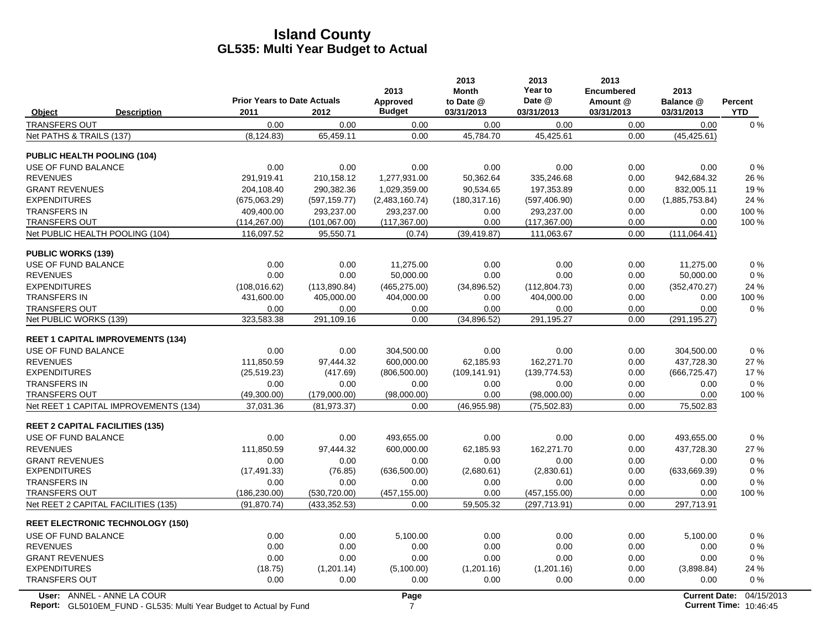|                                             |                                                                                                  | <b>Prior Years to Date Actuals</b> |                    | 2013<br>Approved       | 2013<br><b>Month</b><br>to Date @ | 2013<br>Year to<br>Date @ | 2013<br>Encumbered<br>Amount @ | 2013<br>Balance @    | <b>Percent</b>                              |
|---------------------------------------------|--------------------------------------------------------------------------------------------------|------------------------------------|--------------------|------------------------|-----------------------------------|---------------------------|--------------------------------|----------------------|---------------------------------------------|
| Object                                      | <b>Description</b>                                                                               | 2011                               | 2012               | <b>Budget</b>          | 03/31/2013                        | 03/31/2013                | 03/31/2013                     | 03/31/2013           | <b>YTD</b>                                  |
| <b>TRANSFERS OUT</b>                        |                                                                                                  | 0.00                               | 0.00               | 0.00                   | 0.00                              | 0.00                      | 0.00                           | 0.00                 | $0\%$                                       |
| Net PATHS & TRAILS (137)                    |                                                                                                  | (8, 124.83)                        | 65,459.11          | 0.00                   | 45,784.70                         | 45,425.61                 | 0.00                           | (45, 425.61)         |                                             |
| <b>PUBLIC HEALTH POOLING (104)</b>          |                                                                                                  |                                    |                    |                        |                                   |                           |                                |                      |                                             |
| USE OF FUND BALANCE                         |                                                                                                  | 0.00                               | 0.00               | 0.00                   | 0.00                              | 0.00                      | 0.00                           | 0.00                 | 0%                                          |
| <b>REVENUES</b>                             |                                                                                                  | 291,919.41                         | 210,158.12         | 1,277,931.00           | 50,362.64                         | 335,246.68                | 0.00                           | 942,684.32           | 26 %                                        |
| <b>GRANT REVENUES</b>                       |                                                                                                  | 204,108.40                         | 290,382.36         | 1,029,359.00           | 90,534.65                         | 197,353.89                | 0.00                           | 832,005.11           | 19%                                         |
| <b>EXPENDITURES</b>                         |                                                                                                  | (675,063.29)                       | (597, 159.77)      | (2,483,160.74)         | (180, 317.16)                     | (597, 406.90)             | 0.00                           | (1,885,753.84)       | 24 %                                        |
| <b>TRANSFERS IN</b>                         |                                                                                                  | 409,400.00                         | 293,237.00         | 293,237.00             | 0.00                              | 293,237.00                | 0.00                           | 0.00                 | 100 %                                       |
| <b>TRANSFERS OUT</b>                        |                                                                                                  | (114, 267.00)                      | (101,067.00)       | (117, 367.00)          | 0.00                              | (117, 367.00)             | 0.00                           | 0.00                 | 100 %                                       |
| Net PUBLIC HEALTH POOLING (104)             |                                                                                                  | 116,097.52                         | 95,550.71          | (0.74)                 | (39, 419.87)                      | 111,063.67                | 0.00                           | (111.064.41)         |                                             |
| <b>PUBLIC WORKS (139)</b>                   |                                                                                                  |                                    |                    |                        |                                   |                           |                                |                      |                                             |
| USE OF FUND BALANCE                         |                                                                                                  | 0.00                               | 0.00               | 11,275.00              | 0.00                              | 0.00                      | 0.00                           | 11,275.00            | $0\%$                                       |
| <b>REVENUES</b>                             |                                                                                                  | 0.00                               | 0.00               | 50,000.00              | 0.00                              | 0.00                      | 0.00                           | 50,000.00            | $0\%$                                       |
| <b>EXPENDITURES</b>                         |                                                                                                  | (108, 016.62)                      | (113,890.84)       | (465, 275.00)          | (34,896.52)                       | (112, 804.73)             | 0.00                           | (352, 470.27)        | 24 %                                        |
| TRANSFERS IN                                |                                                                                                  | 431,600.00                         | 405,000.00         | 404,000.00             | 0.00                              | 404,000.00                | 0.00                           | 0.00                 | 100 %                                       |
| <b>TRANSFERS OUT</b>                        |                                                                                                  | 0.00                               | 0.00               | 0.00                   | 0.00                              | 0.00                      | 0.00                           | 0.00                 | 0%                                          |
| Net PUBLIC WORKS (139)                      |                                                                                                  | 323,583.38                         | 291,109.16         | 0.00                   | (34, 896.52)                      | 291,195.27                | 0.00                           | (291, 195.27)        |                                             |
|                                             | <b>REET 1 CAPITAL IMPROVEMENTS (134)</b>                                                         |                                    |                    |                        |                                   |                           |                                |                      |                                             |
| USE OF FUND BALANCE                         |                                                                                                  | 0.00                               | 0.00               | 304,500.00             | 0.00                              | 0.00                      | 0.00                           | 304,500.00           | 0%                                          |
| <b>REVENUES</b>                             |                                                                                                  | 111.850.59                         | 97.444.32          | 600.000.00             | 62.185.93                         | 162,271.70                | 0.00                           | 437.728.30           | 27 %                                        |
| <b>EXPENDITURES</b>                         |                                                                                                  | (25, 519.23)                       | (417.69)           | (806, 500.00)          | (109, 141.91)                     | (139, 774.53)             | 0.00                           | (666, 725.47)        | 17%                                         |
| <b>TRANSFERS IN</b>                         |                                                                                                  | 0.00                               | 0.00               | 0.00                   | 0.00                              | 0.00                      | 0.00                           | 0.00                 | 0%                                          |
| <b>TRANSFERS OUT</b>                        |                                                                                                  | (49,300.00)                        | (179,000.00)       | (98,000.00)            | 0.00                              | (98,000.00)               | 0.00                           | 0.00                 | 100 %                                       |
|                                             | Net REET 1 CAPITAL IMPROVEMENTS (134)                                                            | 37,031.36                          | (81, 973.37)       | 0.00                   | (46, 955.98)                      | (75, 502.83)              | 0.00                           | 75,502.83            |                                             |
| <b>REET 2 CAPITAL FACILITIES (135)</b>      |                                                                                                  |                                    |                    |                        |                                   |                           |                                |                      |                                             |
| USE OF FUND BALANCE                         |                                                                                                  | 0.00                               | 0.00               | 493,655.00             | 0.00                              | 0.00                      | 0.00                           | 493,655.00           | $0\%$                                       |
| <b>REVENUES</b>                             |                                                                                                  | 111,850.59                         | 97,444.32          | 600,000.00             | 62,185.93                         | 162,271.70                | 0.00                           | 437,728.30           | 27 %                                        |
| <b>GRANT REVENUES</b>                       |                                                                                                  | 0.00                               | 0.00               | 0.00                   | 0.00                              | 0.00                      | 0.00                           | 0.00                 | $0\%$                                       |
| <b>EXPENDITURES</b>                         |                                                                                                  | (17, 491.33)                       | (76.85)            | (636, 500.00)          | (2,680.61)                        | (2,830.61)                | 0.00                           | (633, 669.39)        | $0\%$                                       |
| <b>TRANSFERS IN</b>                         |                                                                                                  | 0.00                               | 0.00               | 0.00                   | 0.00                              | 0.00                      | 0.00                           | 0.00                 | 0%                                          |
| <b>TRANSFERS OUT</b>                        |                                                                                                  | (186, 230.00)                      | (530, 720.00)      | (457, 155.00)          | 0.00                              | (457, 155.00)             | 0.00                           | 0.00                 | 100 %                                       |
| Net REET 2 CAPITAL FACILITIES (135)         |                                                                                                  | (91, 870.74)                       | (433, 352.53)      | 0.00                   | 59,505.32                         | (297, 713.91)             | 0.00                           | 297,713.91           |                                             |
|                                             | <b>REET ELECTRONIC TECHNOLOGY (150)</b>                                                          |                                    |                    |                        |                                   |                           |                                |                      |                                             |
| USE OF FUND BALANCE                         |                                                                                                  | 0.00                               | 0.00               | 5,100.00               | 0.00                              | 0.00                      | 0.00                           | 5,100.00             | $0\%$                                       |
| <b>REVENUES</b>                             |                                                                                                  | 0.00                               | 0.00               | 0.00                   | 0.00                              | 0.00                      | 0.00                           | 0.00                 | $0\%$                                       |
| <b>GRANT REVENUES</b>                       |                                                                                                  | 0.00                               | 0.00               | 0.00                   | 0.00                              | 0.00                      | 0.00                           | 0.00                 | 0%                                          |
| <b>EXPENDITURES</b><br><b>TRANSFERS OUT</b> |                                                                                                  | (18.75)<br>0.00                    | (1,201.14)<br>0.00 | (5,100.00)<br>0.00     | (1,201.16)<br>0.00                | (1,201.16)<br>0.00        | 0.00<br>0.00                   | (3,898.84)<br>0.00   | 24 %<br>$0\%$                               |
|                                             |                                                                                                  |                                    |                    |                        |                                   |                           |                                |                      |                                             |
|                                             | User: ANNEL - ANNE LA COUR<br>Report: GL5010EM_FUND - GL535: Multi Year Budget to Actual by Fund |                                    |                    | Page<br>$\overline{7}$ |                                   |                           |                                | <b>Current Date:</b> | 04/15/2013<br><b>Current Time: 10:46:45</b> |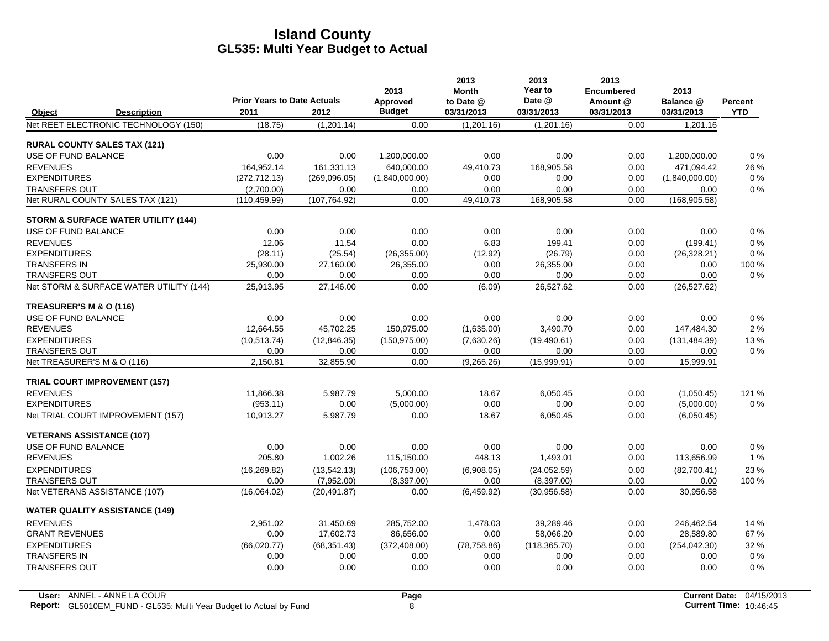|                                  |                                                | <b>Prior Years to Date Actuals</b> |               | 2013                      | 2013<br><b>Month</b>    | 2013<br>Year to<br>Date @ | 2013<br><b>Encumbered</b> | 2013                    |                              |
|----------------------------------|------------------------------------------------|------------------------------------|---------------|---------------------------|-------------------------|---------------------------|---------------------------|-------------------------|------------------------------|
| Object                           | <b>Description</b>                             | 2011                               | 2012          | Approved<br><b>Budget</b> | to Date @<br>03/31/2013 | 03/31/2013                | Amount @<br>03/31/2013    | Balance @<br>03/31/2013 | <b>Percent</b><br><b>YTD</b> |
|                                  | Net REET ELECTRONIC TECHNOLOGY (150)           | (18.75)                            | (1,201.14)    | 0.00                      | (1,201.16)              | (1,201.16)                | 0.00                      | 1,201.16                |                              |
|                                  | <b>RURAL COUNTY SALES TAX (121)</b>            |                                    |               |                           |                         |                           |                           |                         |                              |
| <b>USE OF FUND BALANCE</b>       |                                                | 0.00                               | 0.00          | 1,200,000.00              | 0.00                    | 0.00                      | 0.00                      | 1,200,000.00            | 0%                           |
| <b>REVENUES</b>                  |                                                | 164.952.14                         | 161,331.13    | 640,000.00                | 49,410.73               | 168,905.58                | 0.00                      | 471,094.42              | 26 %                         |
| <b>EXPENDITURES</b>              |                                                | (272, 712.13)                      | (269,096.05)  | (1,840,000.00)            | 0.00                    | 0.00                      | 0.00                      | (1,840,000.00)          | 0%                           |
| <b>TRANSFERS OUT</b>             |                                                | (2.700.00)                         | 0.00          | 0.00                      | 0.00                    | 0.00                      | 0.00                      | 0.00                    | 0%                           |
|                                  | Net RURAL COUNTY SALES TAX (121)               | (110, 459.99)                      | (107, 764.92) | 0.00                      | 49,410.73               | 168,905.58                | 0.00                      | (168, 905.58)           |                              |
|                                  | <b>STORM &amp; SURFACE WATER UTILITY (144)</b> |                                    |               |                           |                         |                           |                           |                         |                              |
| USE OF FUND BALANCE              |                                                | 0.00                               | 0.00          | 0.00                      | 0.00                    | 0.00                      | 0.00                      | 0.00                    | 0%                           |
| <b>REVENUES</b>                  |                                                | 12.06                              | 11.54         | 0.00                      | 6.83                    | 199.41                    | 0.00                      | (199.41)                | 0%                           |
| <b>EXPENDITURES</b>              |                                                | (28.11)                            | (25.54)       | (26, 355.00)              | (12.92)                 | (26.79)                   | 0.00                      | (26, 328.21)            | 0%                           |
| <b>TRANSFERS IN</b>              |                                                | 25,930.00                          | 27,160.00     | 26,355.00                 | 0.00                    | 26,355.00                 | 0.00                      | 0.00                    | 100 %                        |
| <b>TRANSFERS OUT</b>             |                                                | 0.00                               | 0.00          | 0.00                      | 0.00                    | 0.00                      | 0.00                      | 0.00                    | 0%                           |
|                                  | Net STORM & SURFACE WATER UTILITY (144)        | 25,913.95                          | 27,146.00     | 0.00                      | (6.09)                  | 26,527.62                 | 0.00                      | (26, 527.62)            |                              |
| TREASURER'S M & O (116)          |                                                |                                    |               |                           |                         |                           |                           |                         |                              |
| USE OF FUND BALANCE              |                                                | 0.00                               | 0.00          | 0.00                      | 0.00                    | 0.00                      | 0.00                      | 0.00                    | 0%                           |
| <b>REVENUES</b>                  |                                                | 12,664.55                          | 45,702.25     | 150,975.00                | (1,635.00)              | 3,490.70                  | 0.00                      | 147,484.30              | 2%                           |
| <b>EXPENDITURES</b>              |                                                | (10, 513.74)                       | (12, 846.35)  | (150, 975.00)             | (7,630.26)              | (19, 490.61)              | 0.00                      | (131, 484.39)           | 13%                          |
| <b>TRANSFERS OUT</b>             |                                                | 0.00                               | 0.00          | 0.00                      | 0.00                    | 0.00                      | 0.00                      | 0.00                    | 0%                           |
| Net TREASURER'S M & O (116)      |                                                | 2.150.81                           | 32.855.90     | 0.00                      | (9,265.26)              | (15,999.91)               | 0.00                      | 15,999.91               |                              |
|                                  | <b>TRIAL COURT IMPROVEMENT (157)</b>           |                                    |               |                           |                         |                           |                           |                         |                              |
| <b>REVENUES</b>                  |                                                | 11,866.38                          | 5,987.79      | 5,000.00                  | 18.67                   | 6,050.45                  | 0.00                      | (1,050.45)              | 121 %                        |
| <b>EXPENDITURES</b>              |                                                | (953.11)                           | 0.00          | (5,000.00)                | 0.00                    | 0.00                      | 0.00                      | (5,000.00)              | 0%                           |
|                                  | Net TRIAL COURT IMPROVEMENT (157)              | 10.913.27                          | 5.987.79      | 0.00                      | 18.67                   | 6.050.45                  | 0.00                      | (6,050.45)              |                              |
| <b>VETERANS ASSISTANCE (107)</b> |                                                |                                    |               |                           |                         |                           |                           |                         |                              |
| USE OF FUND BALANCE              |                                                | 0.00                               | 0.00          | 0.00                      | 0.00                    | 0.00                      | 0.00                      | 0.00                    | 0%                           |
| <b>REVENUES</b>                  |                                                | 205.80                             | 1,002.26      | 115,150.00                | 448.13                  | 1,493.01                  | 0.00                      | 113,656.99              | 1%                           |
| <b>EXPENDITURES</b>              |                                                | (16, 269.82)                       | (13,542.13)   | (106, 753.00)             | (6,908.05)              | (24.052.59)               | 0.00                      | (82,700.41)             | 23%                          |
| <b>TRANSFERS OUT</b>             |                                                | 0.00                               | (7,952.00)    | (8,397.00)                | 0.00                    | (8, 397.00)               | 0.00                      | 0.00                    | 100%                         |
|                                  | Net VETERANS ASSISTANCE (107)                  | (16,064.02)                        | (20, 491.87)  | 0.00                      | (6,459.92)              | (30.956.58)               | 0.00                      | 30,956.58               |                              |
|                                  | <b>WATER QUALITY ASSISTANCE (149)</b>          |                                    |               |                           |                         |                           |                           |                         |                              |
| <b>REVENUES</b>                  |                                                | 2,951.02                           | 31,450.69     | 285,752.00                | 1,478.03                | 39,289.46                 | 0.00                      | 246,462.54              | 14 %                         |
| <b>GRANT REVENUES</b>            |                                                | 0.00                               | 17,602.73     | 86,656.00                 | 0.00                    | 58,066.20                 | 0.00                      | 28,589.80               | 67%                          |
| <b>EXPENDITURES</b>              |                                                | (66,020.77)                        | (68, 351.43)  | (372, 408.00)             | (78, 758.86)            | (118, 365.70)             | 0.00                      | (254, 042.30)           | 32 %                         |
| <b>TRANSFERS IN</b>              |                                                | 0.00                               | 0.00          | 0.00                      | 0.00                    | 0.00                      | 0.00                      | 0.00                    | 0%                           |
| <b>TRANSFERS OUT</b>             |                                                | 0.00                               | 0.00          | 0.00                      | 0.00                    | 0.00                      | 0.00                      | 0.00                    | 0%                           |
|                                  |                                                |                                    |               |                           |                         |                           |                           |                         |                              |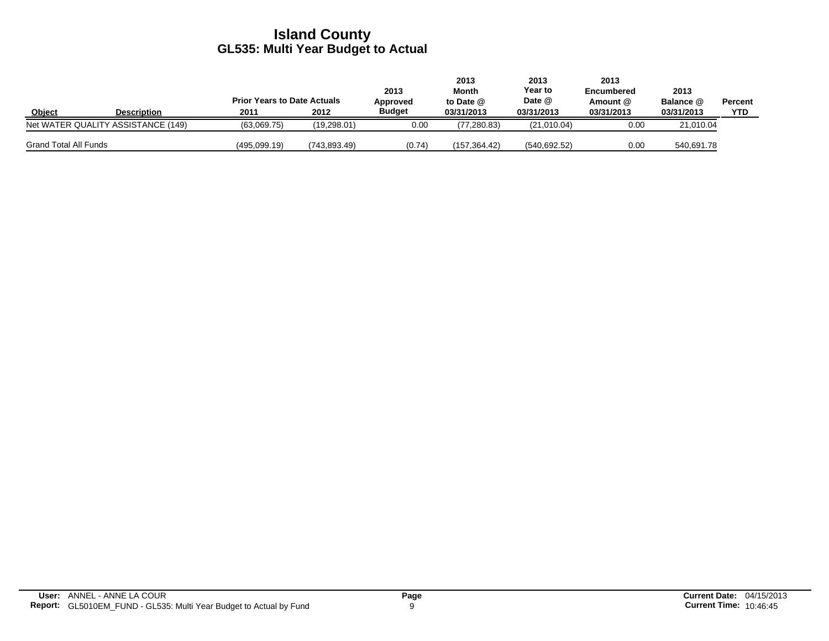|                              |                                    | <b>Prior Years to Date Actuals</b> |              | 2013<br>Approved | 2013<br>Month<br>to Date @ | 2013<br>Year to<br>Date @ | 2013<br><b>Encumbered</b><br>Amount @ | 2013<br>Balance @ | <b>Percent</b> |
|------------------------------|------------------------------------|------------------------------------|--------------|------------------|----------------------------|---------------------------|---------------------------------------|-------------------|----------------|
| Object                       | <b>Description</b>                 | 2011                               | 2012         | <b>Budget</b>    | 03/31/2013                 | 03/31/2013                | 03/31/2013                            | 03/31/2013        | <b>YTD</b>     |
|                              | Net WATER QUALITY ASSISTANCE (149) | (63,069.75)                        | (19, 298.01) | 0.00             | (77, 280.83)               | (21,010.04)               | 0.00                                  | 21,010.04         |                |
| <b>Grand Total All Funds</b> |                                    | (495.099.19)                       | (743.893.49) | (0.74)           | (157.364.42)               | (540.692.52)              | 0.00                                  | 540,691.78        |                |